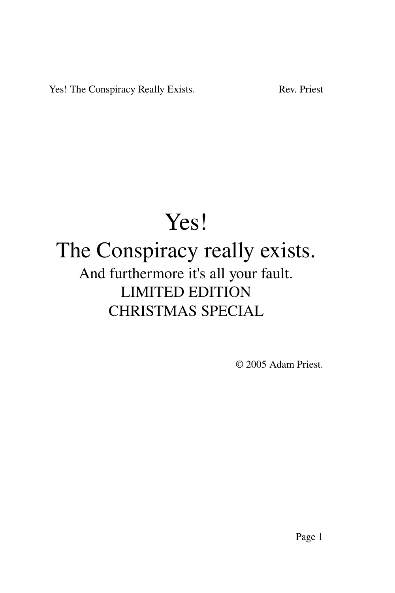### Yes! The Conspiracy really exists. And furthermore it's all your fault. **LIMITED EDITION CHRISTMAS SPECIAL**

© 2005 Adam Priest.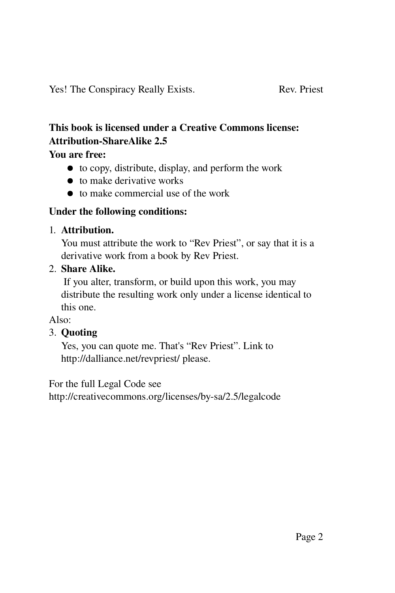#### This book is licensed under a Creative Commons license: **Attribution-ShareAlike 2.5**

**You are free:** 

- to copy, distribute, display, and perform the work
- $\bullet$  to make derivative works
- $\bullet$  to make commercial use of the work

#### Under the following conditions:

#### 1. Attribution.

You must attribute the work to "Rev Priest", or say that it is a derivative work from a book by Rev Priest.

#### 2. Share Alike.

If you alter, transform, or build upon this work, you may distribute the resulting work only under a license identical to this one.

 $Also:$ 

#### 3. Quoting

Yes, you can quote me. That's "Rev Priest". Link to http://dalliance.net/revpriest/ please.

For the full Legal Code see

http://creativecommons.org/licenses/by-sa/2.5/legalcode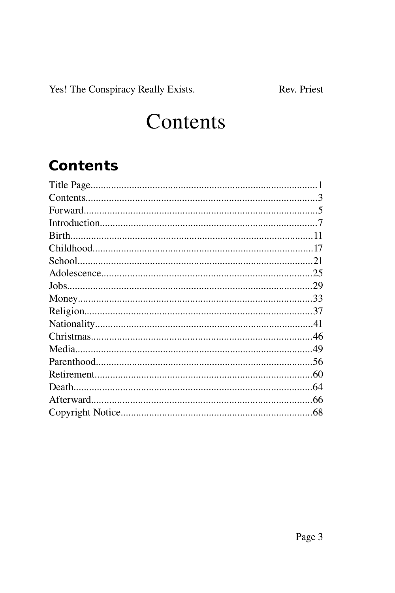### Contents

#### **Contents**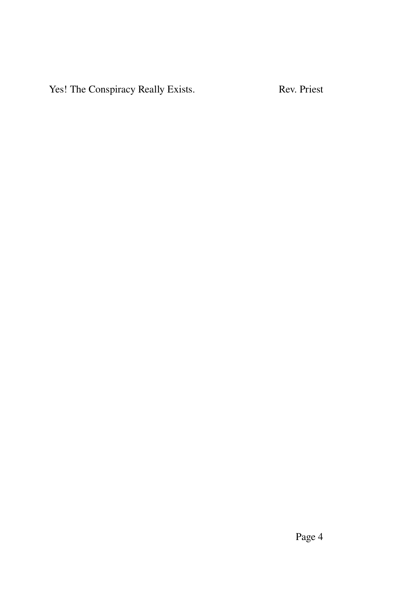Rev. Priest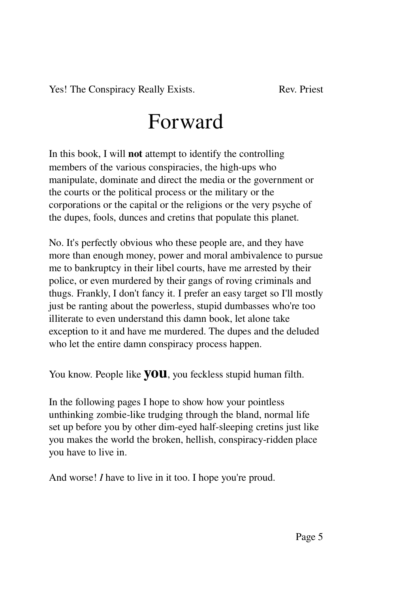Yes! The Conspiracy Really Exists.

#### Forward

In this book, I will **not** attempt to identify the controlling members of the various conspiracies, the high-ups who manipulate, dominate and direct the media or the government or the courts or the political process or the military or the corporations or the capital or the religions or the very psyche of the dupes, fools, dunces and cretins that populate this planet.

No. It's perfectly obvious who these people are, and they have more than enough money, power and moral ambivalence to pursue me to bankruptcy in their libel courts, have me arrested by their police, or even murdered by their gangs of roving criminals and thugs. Frankly, I don't fancy it. I prefer an easy target so I'll mostly just be ranting about the powerless, stupid dumbasses who're too illiterate to even understand this damn book, let alone take exception to it and have me murdered. The dupes and the deluded who let the entire damn conspiracy process happen.

You know. People like **YOU**, you feckless stupid human filth.

In the following pages I hope to show how your pointless unthinking zombie-like trudging through the bland, normal life set up before you by other dim-eyed half-sleeping cretins just like you makes the world the broken, hellish, conspiracy-ridden place you have to live in.

And worse! *I* have to live in it too. I hope you're proud.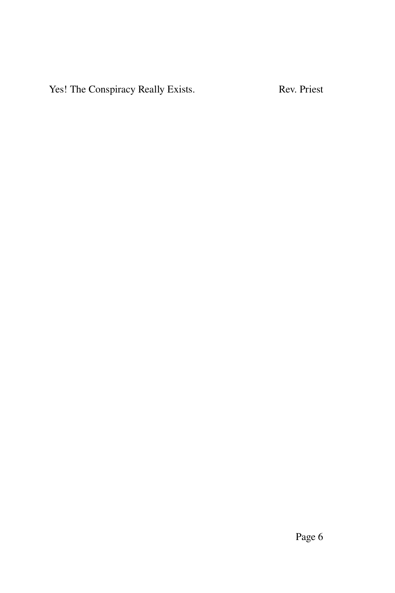Rev. Priest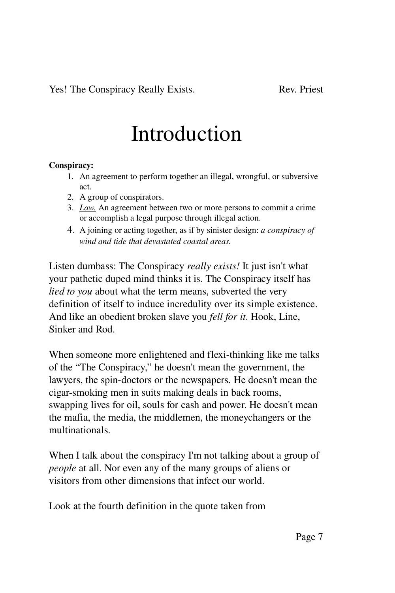## Introduction

#### Conspiracy:

- 1. An agreement to perform together an illegal, wrongful, or subversive act
- 2. A group of conspirators.
- 3. Law. An agreement between two or more persons to commit a crime or accomplish a legal purpose through illegal action.
- 4. A joining or acting together, as if by sinister design: a conspiracy of wind and tide that devastated coastal areas.

Listen dumbass: The Conspiracy really exists! It just isn't what your pathetic duped mind thinks it is. The Conspiracy itself has *lied to you* about what the term means, subverted the very definition of itself to induce incredulity over its simple existence. And like an obedient broken slave you fell for it. Hook, Line, Sinker and Rod.

When someone more enlightened and flexi-thinking like me talks of the "The Conspiracy," he doesn't mean the government, the lawyers, the spin-doctors or the newspapers. He doesn't mean the cigar-smoking men in suits making deals in back rooms, swapping lives for oil, souls for cash and power. He doesn't mean the mafia, the media, the middlemen, the moneychangers or the multinationals.

When I talk about the conspiracy I'm not talking about a group of *people* at all. Nor even any of the many groups of aliens or visitors from other dimensions that infect our world.

Look at the fourth definition in the quote taken from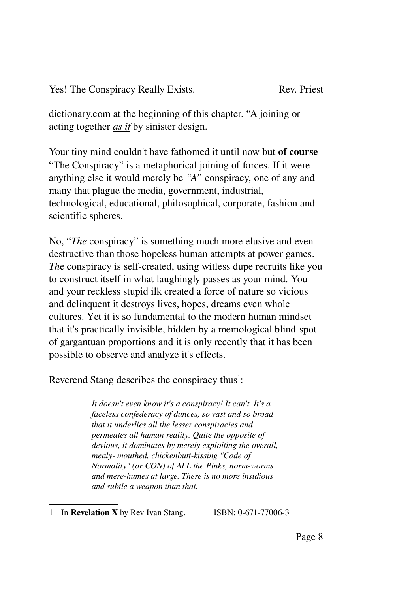dictionary.com at the beginning of this chapter. "A joining or acting together *as if* by sinister design.

Your tiny mind couldn't have fathomed it until now but of course "The Conspiracy" is a metaphorical joining of forces. If it were anything else it would merely be "A" conspiracy, one of any and many that plague the media, government, industrial, technological, educational, philosophical, corporate, fashion and scientific spheres.

No, "*The* conspiracy" is something much more elusive and even destructive than those hopeless human attempts at power games. The conspiracy is self-created, using witless dupe recruits like you to construct itself in what laughingly passes as your mind. You and your reckless stupid ilk created a force of nature so vicious and delinquent it destroys lives, hopes, dreams even whole cultures. Yet it is so fundamental to the modern human mindset that it's practically invisible, hidden by a memological blind-spot of gargantuan proportions and it is only recently that it has been possible to observe and analyze it's effects.

Reverend Stang describes the conspiracy thus<sup>1</sup>:

It doesn't even know it's a conspiracy! It can't. It's a faceless confederacy of dunces, so vast and so broad that it underlies all the lesser conspiracies and permeates all human reality. Quite the opposite of devious, it dominates by merely exploiting the overall, mealy- mouthed, chickenbutt-kissing "Code of Normality" (or CON) of ALL the Pinks, norm-worms and mere-humes at large. There is no more insidious and subtle a weapon than that.

ISBN: 0-671-77006-3

<sup>1</sup> In Revelation X by Rev Ivan Stang.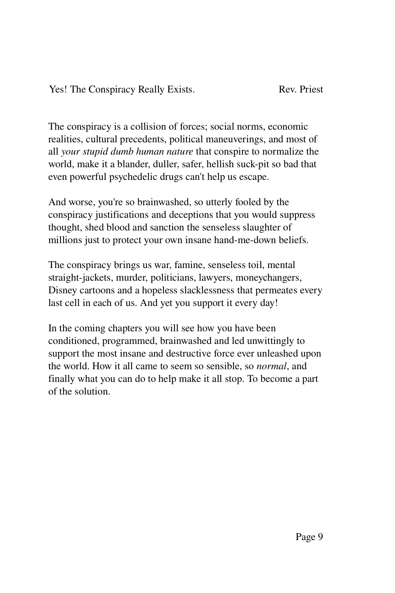The conspiracy is a collision of forces; social norms, economic realities, cultural precedents, political maneuverings, and most of all your *stupid dumb human nature* that conspire to normalize the world, make it a blander, duller, safer, hellish suck-pit so bad that even powerful psychedelic drugs can't help us escape.

And worse, you're so brainwashed, so utterly fooled by the conspiracy justifications and deceptions that you would suppress thought, shed blood and sanction the senseless slaughter of millions just to protect your own insane hand-me-down beliefs.

The conspiracy brings us war, famine, senseless toil, mental straight-jackets, murder, politicians, lawyers, moneychangers, Disney cartoons and a hopeless slacklessness that permeates every last cell in each of us. And yet you support it every day!

In the coming chapters you will see how you have been conditioned, programmed, brainwashed and led unwittingly to support the most insane and destructive force ever unleashed upon the world. How it all came to seem so sensible, so *normal*, and finally what you can do to help make it all stop. To become a part of the solution.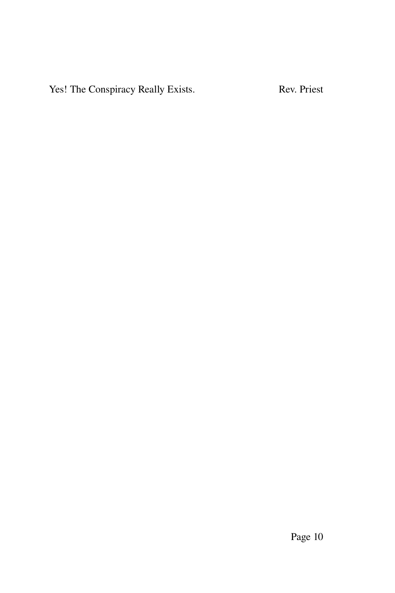Rev. Priest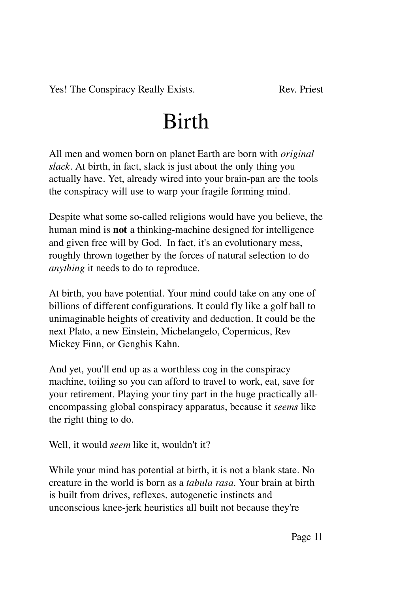**Rev Priest** 

## **Birth**

All men and women born on planet Earth are born with *original* slack. At birth, in fact, slack is just about the only thing you actually have. Yet, already wired into your brain-pan are the tools the conspiracy will use to warp your fragile forming mind.

Despite what some so-called religions would have you believe, the human mind is **not** a thinking-machine designed for intelligence and given free will by God. In fact, it's an evolutionary mess, roughly thrown together by the forces of natural selection to do *anything* it needs to do to reproduce.

At birth, you have potential. Your mind could take on any one of billions of different configurations. It could fly like a golf ball to unimaginable heights of creativity and deduction. It could be the next Plato, a new Einstein, Michelangelo, Copernicus, Rev Mickey Finn, or Genghis Kahn.

And yet, you'll end up as a worthless cog in the conspiracy machine, toiling so you can afford to travel to work, eat, save for your retirement. Playing your tiny part in the huge practically allencompassing global conspiracy apparatus, because it *seems* like the right thing to do.

Well, it would seem like it, wouldn't it?

While your mind has potential at birth, it is not a blank state. No creature in the world is born as a *tabula rasa*. Your brain at birth is built from drives, reflexes, autogenetic instincts and unconscious knee-jerk heuristics all built not because they're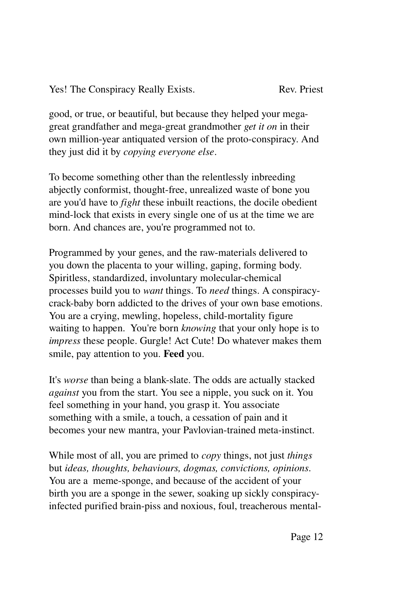Rev. Priest Yes! The Conspiracy Really Exists.

good, or true, or beautiful, but because they helped your megagreat grandfather and mega-great grandmother *get it on* in their own million-year antiquated version of the proto-conspiracy. And they just did it by copying everyone else.

To become something other than the relentlessly inbreeding abjectly conformist, thought-free, unrealized waste of bone you are you'd have to *fight* these inbuilt reactions, the docile obedient mind-lock that exists in every single one of us at the time we are born. And chances are, you're programmed not to.

Programmed by your genes, and the raw-materials delivered to you down the placenta to your willing, gaping, forming body. Spiritless, standardized, involuntary molecular-chemical processes build you to *want* things. To *need* things. A conspiracycrack-baby born addicted to the drives of your own base emotions. You are a crying, mewling, hopeless, child-mortality figure waiting to happen. You're born *knowing* that your only hope is to *impress* these people. Gurgle! Act Cute! Do whatever makes them smile, pay attention to you. Feed you.

It's worse than being a blank-slate. The odds are actually stacked *against* you from the start. You see a nipple, you suck on it. You feel something in your hand, you grasp it. You associate something with a smile, a touch, a cessation of pain and it becomes your new mantra, your Pavlovian-trained meta-instinct.

While most of all, you are primed to *copy* things, not just *things* but ideas, thoughts, behaviours, dogmas, convictions, opinions. You are a meme-sponge, and because of the accident of your birth you are a sponge in the sewer, soaking up sickly conspiracyinfected purified brain-piss and noxious, foul, treacherous mental-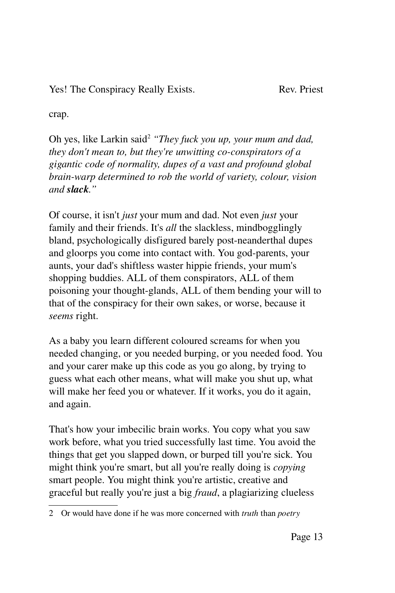Yes! The Conspiracy Really Exists.

crap.

Oh yes, like Larkin said<sup>2</sup> "They fuck you up, your mum and dad, they don't mean to, but they're unwitting co-conspirators of a gigantic code of normality, dupes of a vast and profound global brain-warp determined to rob the world of variety, colour, vision and **slack**."

Of course, it isn't *just* your mum and dad. Not even *just* your family and their friends. It's *all* the slackless, mindbogglingly bland, psychologically disfigured barely post-neanderthal dupes and gloorps you come into contact with. You god-parents, your aunts, your dad's shiftless waster hippie friends, your mum's shopping buddies. ALL of them conspirators, ALL of them poisoning your thought-glands, ALL of them bending your will to that of the conspiracy for their own sakes, or worse, because it seems right.

As a baby you learn different coloured screams for when you needed changing, or you needed burping, or you needed food. You and your carer make up this code as you go along, by trying to guess what each other means, what will make you shut up, what will make her feed you or whatever. If it works, you do it again, and again.

That's how your imbecilic brain works. You copy what you saw work before, what you tried successfully last time. You avoid the things that get you slapped down, or burped till you're sick. You might think you're smart, but all you're really doing is *copying* smart people. You might think you're artistic, creative and graceful but really you're just a big *fraud*, a plagiarizing clueless

<sup>2</sup> Or would have done if he was more concerned with *truth* than *poetry*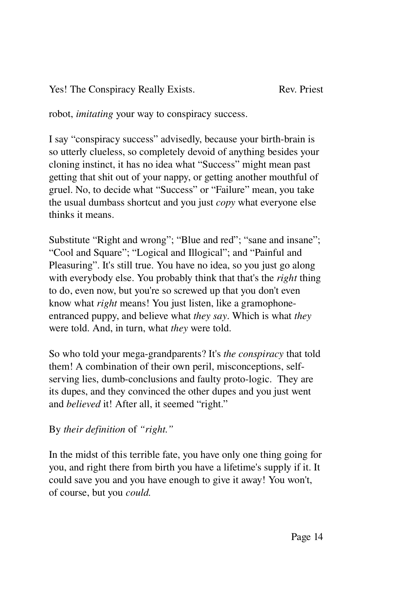robot, *imitating* your way to conspiracy success.

I say "conspiracy success" advisedly, because your birth-brain is so utterly clueless, so completely devoid of anything besides your cloning instinct, it has no idea what "Success" might mean past getting that shit out of your nappy, or getting another mouthful of gruel. No, to decide what "Success" or "Failure" mean, you take the usual dumbass shortcut and you just *copy* what everyone else thinks it means.

Substitute "Right and wrong"; "Blue and red"; "sane and insane"; "Cool and Square"; "Logical and Illogical"; and "Painful and Pleasuring". It's still true. You have no idea, so you just go along with everybody else. You probably think that that's the *right* thing to do, even now, but you're so screwed up that you don't even know what *right* means! You just listen, like a gramophoneentranced puppy, and believe what they say. Which is what they were told. And, in turn, what they were told.

So who told your mega-grandparents? It's *the conspiracy* that told them! A combination of their own peril, misconceptions, selfserving lies, dumb-conclusions and faulty proto-logic. They are its dupes, and they convinced the other dupes and you just went and believed it! After all, it seemed "right."

By their definition of "right."

In the midst of this terrible fate, you have only one thing going for you, and right there from birth you have a lifetime's supply if it. It could save you and you have enough to give it away! You won't, of course, but you could.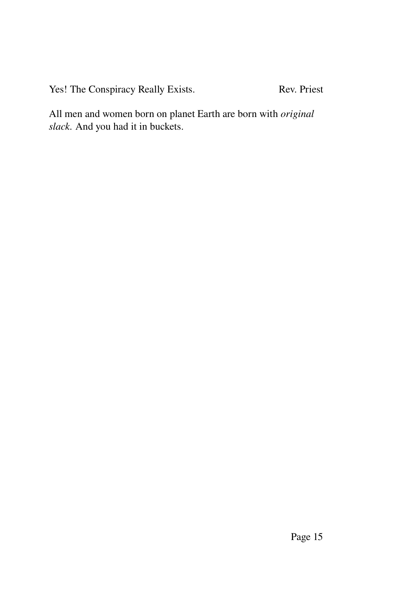Yes! The Conspiracy Really Exists. Rev. Priest

All men and women born on planet Earth are born with original slack. And you had it in buckets.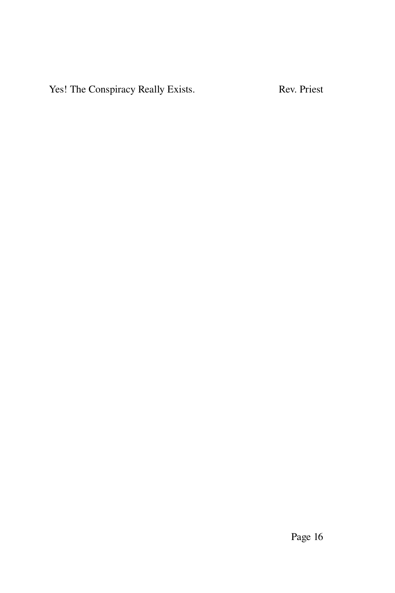Rev. Priest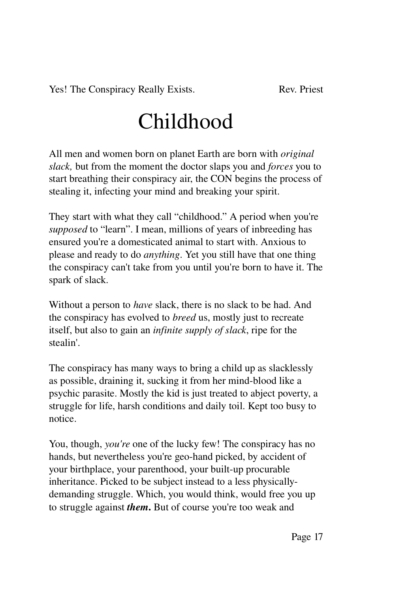Yes! The Conspiracy Really Exists.

## Childhood

All men and women born on planet Earth are born with *original* slack, but from the moment the doctor slaps you and forces you to start breathing their conspiracy air, the CON begins the process of stealing it, infecting your mind and breaking your spirit.

They start with what they call "childhood." A period when you're supposed to "learn". I mean, millions of years of inbreeding has ensured you're a domesticated animal to start with. Anxious to please and ready to do *anything*. Yet you still have that one thing the conspiracy can't take from you until you're born to have it. The spark of slack.

Without a person to *have* slack, there is no slack to be had. And the conspiracy has evolved to *breed* us, mostly just to recreate itself, but also to gain an *infinite supply of slack*, ripe for the stealin'

The conspiracy has many ways to bring a child up as slacklessly as possible, draining it, sucking it from her mind-blood like a psychic parasite. Mostly the kid is just treated to abject poverty, a struggle for life, harsh conditions and daily toil. Kept too busy to notice.

You, though, you're one of the lucky few! The conspiracy has no hands, but nevertheless you're geo-hand picked, by accident of your birthplace, your parenthood, your built-up procurable inheritance. Picked to be subject instead to a less physicallydemanding struggle. Which, you would think, would free you up to struggle against *them*. But of course you're too weak and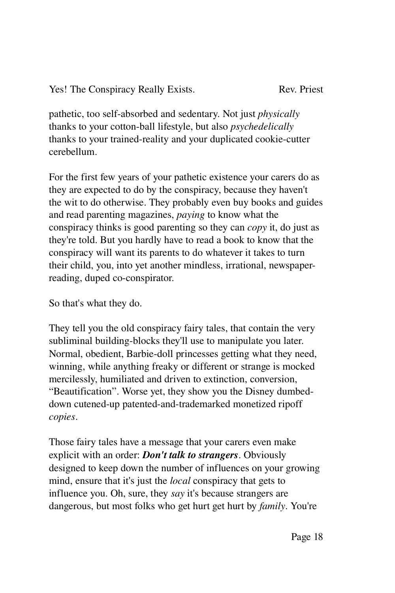pathetic, too self-absorbed and sedentary. Not just *physically* thanks to your cotton-ball lifestyle, but also *psychedelically* thanks to your trained-reality and your duplicated cookie-cutter cerebellum.

For the first few years of your pathetic existence your carers do as they are expected to do by the conspiracy, because they haven't the wit to do otherwise. They probably even buy books and guides and read parenting magazines, paying to know what the conspiracy thinks is good parenting so they can *copy* it, do just as they're told. But you hardly have to read a book to know that the conspiracy will want its parents to do whatever it takes to turn their child, you, into yet another mindless, irrational, newspaperreading, duped co-conspirator.

So that's what they do.

They tell you the old conspiracy fairy tales, that contain the very subliminal building-blocks they'll use to manipulate you later. Normal, obedient, Barbie-doll princesses getting what they need, winning, while anything freaky or different or strange is mocked mercilessly, humiliated and driven to extinction, conversion, "Beautification". Worse yet, they show you the Disney dumbeddown cutened-up patented-and-trademarked monetized ripoff copies.

Those fairy tales have a message that your carers even make explicit with an order: Don't talk to strangers. Obviously designed to keep down the number of influences on your growing mind, ensure that it's just the *local* conspiracy that gets to influence you. Oh, sure, they say it's because strangers are dangerous, but most folks who get hurt get hurt by family. You're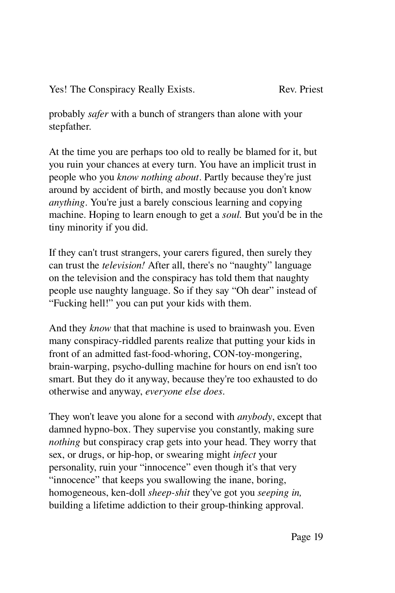probably *safer* with a bunch of strangers than alone with your stepfather.

At the time you are perhaps too old to really be blamed for it, but you ruin your chances at every turn. You have an implicit trust in people who you know nothing about. Partly because they're just around by accident of birth, and mostly because you don't know *anything*. You're just a barely conscious learning and copying machine. Hoping to learn enough to get a soul. But you'd be in the tiny minority if you did.

If they can't trust strangers, your carers figured, then surely they can trust the *television!* After all, there's no "naughty" language on the television and the conspiracy has told them that naughty people use naughty language. So if they say "Oh dear" instead of "Fucking hell!" you can put your kids with them.

And they know that that machine is used to brainwash you. Even many conspiracy-riddled parents realize that putting your kids in front of an admitted fast-food-whoring, CON-toy-mongering, brain-warping, psycho-dulling machine for hours on end isn't too smart. But they do it anyway, because they're too exhausted to do otherwise and anyway, everyone else does.

They won't leave you alone for a second with *anybody*, except that damned hypno-box. They supervise you constantly, making sure nothing but conspiracy crap gets into your head. They worry that sex, or drugs, or hip-hop, or swearing might *infect* your personality, ruin your "innocence" even though it's that very "innocence" that keeps you swallowing the inane, boring, homogeneous, ken-doll sheep-shit they've got you seeping in, building a lifetime addiction to their group-thinking approval.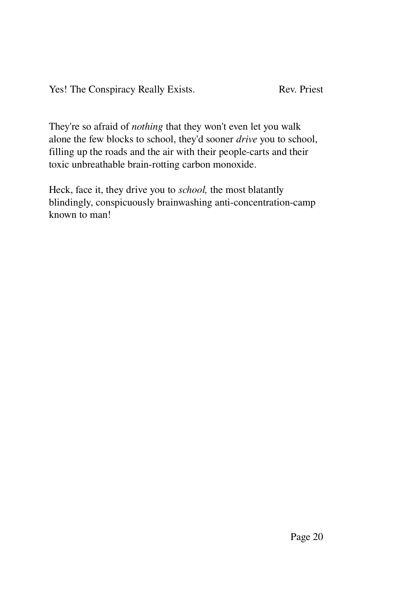They're so afraid of *nothing* that they won't even let you walk alone the few blocks to school, they'd sooner drive you to school, filling up the roads and the air with their people-carts and their toxic unbreathable brain-rotting carbon monoxide.

Heck, face it, they drive you to school, the most blatantly blindingly, conspicuously brainwashing anti-concentration-camp known to man!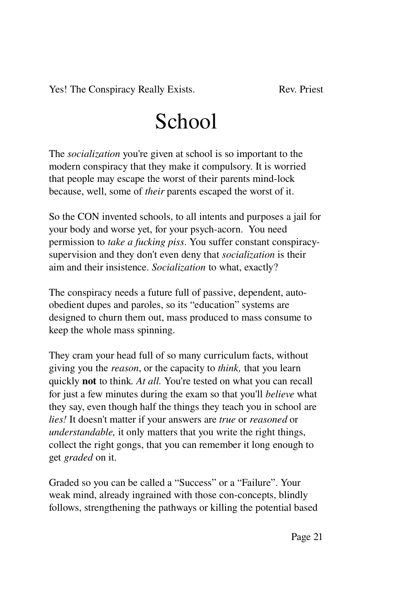Yes! The Conspiracy Really Exists.

### School

The *socialization* you're given at school is so important to the modern conspiracy that they make it compulsory. It is worried that people may escape the worst of their parents mind-lock because, well, some of *their* parents escaped the worst of it.

So the CON invented schools, to all intents and purposes a jail for your body and worse yet, for your psych-acorn. You need permission to take a fucking piss. You suffer constant conspiracysupervision and they don't even deny that *socialization* is their aim and their insistence. Socialization to what, exactly?

The conspiracy needs a future full of passive, dependent, autoobedient dupes and paroles, so its "education" systems are designed to churn them out, mass produced to mass consume to keep the whole mass spinning.

They cram your head full of so many curriculum facts, without giving you the *reason*, or the capacity to *think*, that you learn quickly not to think. At all. You're tested on what you can recall for just a few minutes during the exam so that you'll *believe* what they say, even though half the things they teach you in school are *lies!* It doesn't matter if your answers are *true* or *reasoned* or *understandable*, it only matters that you write the right things, collect the right gongs, that you can remember it long enough to get graded on it.

Graded so you can be called a "Success" or a "Failure". Your weak mind, already ingrained with those con-concepts, blindly follows, strengthening the pathways or killing the potential based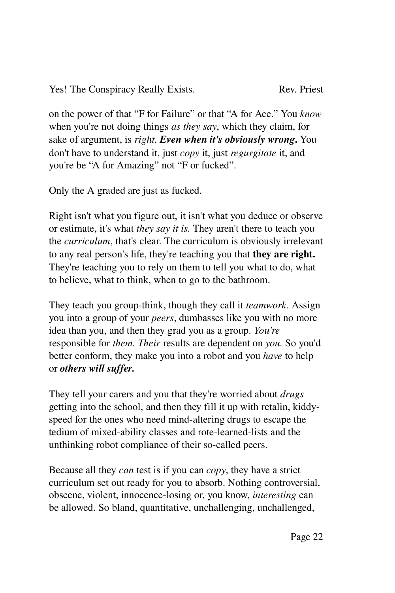on the power of that "F for Failure" or that "A for Ace." You know when you're not doing things as they say, which they claim, for sake of argument, is *right*. Even when it's *obviously wrong*. You don't have to understand it, just *copy* it, just *regurgitate* it, and you're be "A for Amazing" not "F or fucked".

Only the A graded are just as fucked.

Right isn't what you figure out, it isn't what you deduce or observe or estimate, it's what *they say it is*. They aren't there to teach you the *curriculum*, that's clear. The curriculum is obviously irrelevant to any real person's life, they're teaching you that they are right. They're teaching you to rely on them to tell you what to do, what to believe, what to think, when to go to the bathroom.

They teach you group-think, though they call it *teamwork*. Assign you into a group of your peers, dumbasses like you with no more idea than you, and then they grad you as a group. You're responsible for *them. Their* results are dependent on *you*. So you'd better conform, they make you into a robot and you have to help or others will suffer.

They tell your carers and you that they're worried about *drugs* getting into the school, and then they fill it up with retalin, kiddyspeed for the ones who need mind-altering drugs to escape the tedium of mixed-ability classes and rote-learned-lists and the unthinking robot compliance of their so-called peers.

Because all they *can* test is if you can *copy*, they have a strict curriculum set out ready for you to absorb. Nothing controversial, obscene, violent, innocence-losing or, you know, *interesting* can be allowed. So bland, quantitative, unchallenging, unchallenged,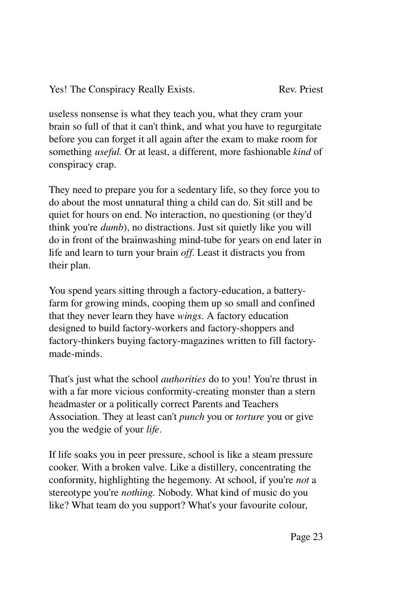**Rev Priest** 

useless nonsense is what they teach you, what they cram your brain so full of that it can't think, and what you have to regurgitate before you can forget it all again after the exam to make room for something *useful*. Or at least, a different, more fashionable kind of conspiracy crap.

They need to prepare you for a sedentary life, so they force you to do about the most unnatural thing a child can do. Sit still and be quiet for hours on end. No interaction, no questioning (or they'd think you're *dumb*), no distractions. Just sit quietly like you will do in front of the brainwashing mind-tube for years on end later in life and learn to turn your brain off. Least it distracts you from their plan.

You spend years sitting through a factory-education, a batteryfarm for growing minds, cooping them up so small and confined that they never learn they have wings. A factory education designed to build factory-workers and factory-shoppers and factory-thinkers buying factory-magazines written to fill factorymade-minds

That's just what the school *authorities* do to you! You're thrust in with a far more vicious conformity-creating monster than a stern headmaster or a politically correct Parents and Teachers Association. They at least can't *punch* you or *torture* you or give you the wedgie of your *life*.

If life soaks you in peer pressure, school is like a steam pressure cooker. With a broken valve. Like a distillery, concentrating the conformity, highlighting the hegemony. At school, if you're not a stereotype you're *nothing*. Nobody. What kind of music do you like? What team do you support? What's your favourite colour,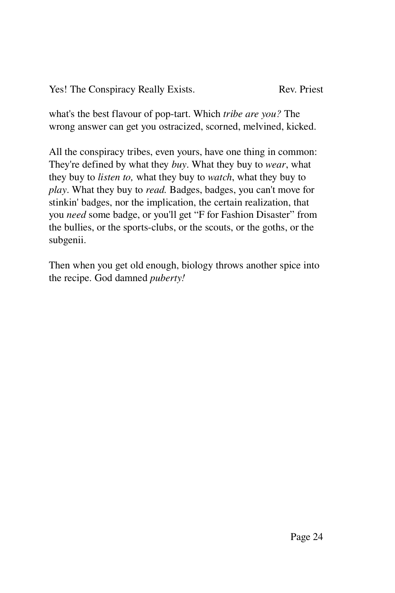Yes! The Conspiracy Really Exists. Rev. Priest

what's the best flavour of pop-tart. Which tribe are you? The wrong answer can get you ostracized, scorned, melvined, kicked.

All the conspiracy tribes, even yours, have one thing in common: They're defined by what they buy. What they buy to wear, what they buy to *listen to*, what they buy to *watch*, what they buy to *play.* What they buy to *read.* Badges, badges, you can't move for stinkin' badges, nor the implication, the certain realization, that you need some badge, or you'll get "F for Fashion Disaster" from the bullies, or the sports-clubs, or the scouts, or the goths, or the subgenii.

Then when you get old enough, biology throws another spice into the recipe. God damned *puberty!*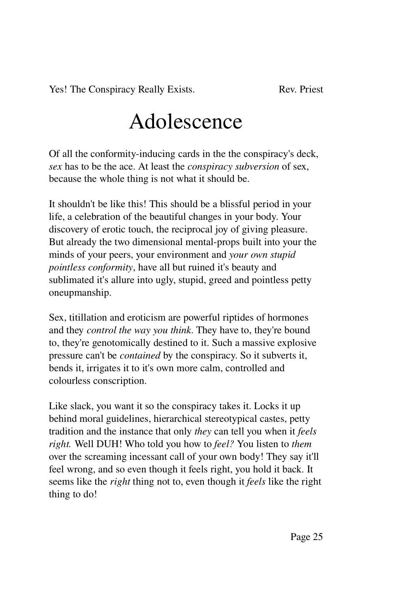Yes! The Conspiracy Really Exists.

## Adolescence

Of all the conformity-inducing cards in the the conspiracy's deck, sex has to be the ace. At least the conspiracy subversion of sex, because the whole thing is not what it should be.

It shouldn't be like this! This should be a blissful period in your life, a celebration of the beautiful changes in your body. Your discovery of erotic touch, the reciprocal joy of giving pleasure. But already the two dimensional mental-props built into your the minds of your peers, your environment and your own stupid pointless conformity, have all but ruined it's beauty and sublimated it's allure into ugly, stupid, greed and pointless petty oneupmanship.

Sex, titillation and eroticism are powerful riptides of hormones and they control the way you think. They have to, they're bound to, they're genotomically destined to it. Such a massive explosive pressure can't be *contained* by the conspiracy. So it subverts it, bends it, irrigates it to it's own more calm, controlled and colourless conscription.

Like slack, you want it so the conspiracy takes it. Locks it up behind moral guidelines, hierarchical stereotypical castes, petty tradition and the instance that only they can tell you when it feels right. Well DUH! Who told you how to feel? You listen to them over the screaming incessant call of your own body! They say it'll feel wrong, and so even though it feels right, you hold it back. It seems like the *right* thing not to, even though it *feels* like the right thing to do!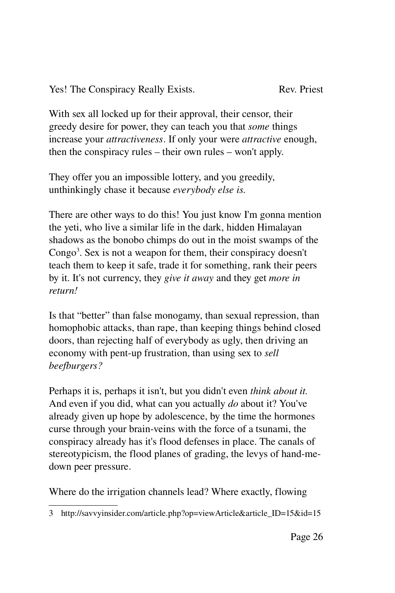With sex all locked up for their approval, their censor, their greedy desire for power, they can teach you that *some* things increase your *attractiveness*. If only your were *attractive* enough, then the conspiracy rules – their own rules – won't apply.

They offer you an impossible lottery, and you greedily, unthinkingly chase it because everybody else is.

There are other ways to do this! You just know I'm gonna mention the yeti, who live a similar life in the dark, hidden Himalayan shadows as the bonobo chimps do out in the moist swamps of the Congo<sup>3</sup>. Sex is not a weapon for them, their conspiracy doesn't teach them to keep it safe, trade it for something, rank their peers by it. It's not currency, they *give it away* and they get *more in* return!

Is that "better" than false monogamy, than sexual repression, than homophobic attacks, than rape, than keeping things behind closed doors, than rejecting half of everybody as ugly, then driving an economy with pent-up frustration, than using sex to *sell* beefburgers?

Perhaps it is, perhaps it isn't, but you didn't even *think about it*. And even if you did, what can you actually *do* about it? You've already given up hope by adolescence, by the time the hormones curse through your brain-veins with the force of a tsunami, the conspiracy already has it's flood defenses in place. The canals of stereotypicism, the flood planes of grading, the levys of hand-medown peer pressure.

Where do the irrigation channels lead? Where exactly, flowing

<sup>3</sup> http://savvyinsider.com/article.php?op=viewArticle&article ID=15&id=15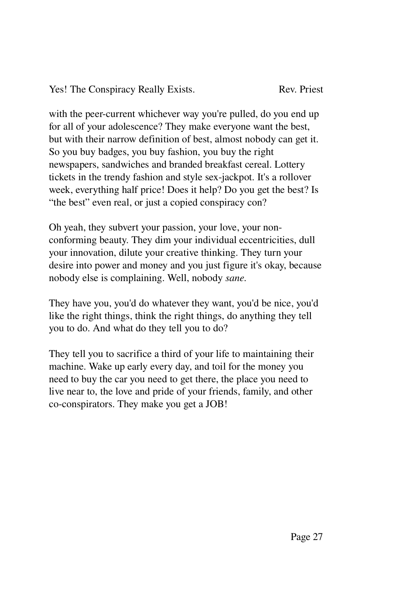with the peer-current whichever way you're pulled, do you end up for all of your adolescence? They make everyone want the best, but with their narrow definition of best, almost nobody can get it. So you buy badges, you buy fashion, you buy the right newspapers, sandwiches and branded breakfast cereal. Lottery tickets in the trendy fashion and style sex-jackpot. It's a rollover week, everything half price! Does it help? Do you get the best? Is "the best" even real, or just a copied conspiracy con?

Oh yeah, they subvert your passion, your love, your nonconforming beauty. They dim your individual eccentricities, dull your innovation, dilute your creative thinking. They turn your desire into power and money and you just figure it's okay, because nobody else is complaining. Well, nobody sane.

They have you, you'd do whatever they want, you'd be nice, you'd like the right things, think the right things, do anything they tell you to do. And what do they tell you to do?

They tell you to sacrifice a third of your life to maintaining their machine. Wake up early every day, and toil for the money you need to buy the car you need to get there, the place you need to live near to, the love and pride of your friends, family, and other co-conspirators. They make you get a JOB!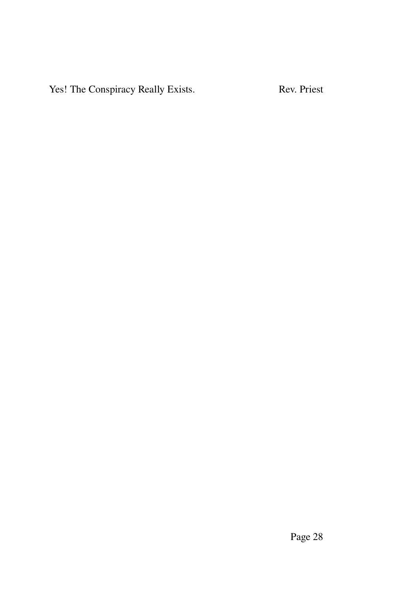Rev. Priest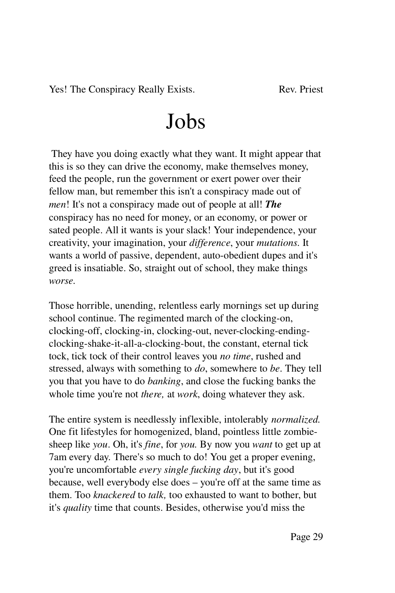Yes! The Conspiracy Really Exists.

#### Jobs

They have you doing exactly what they want. It might appear that this is so they can drive the economy, make themselves money, feed the people, run the government or exert power over their fellow man, but remember this isn't a conspiracy made out of *men!* It's not a conspiracy made out of people at all! **The** conspiracy has no need for money, or an economy, or power or sated people. All it wants is your slack! Your independence, your creativity, your imagination, your *difference*, your *mutations*. It wants a world of passive, dependent, auto-obedient dupes and it's greed is insatiable. So, straight out of school, they make things worse.

Those horrible, unending, relentless early mornings set up during school continue. The regimented march of the clocking-on, clocking-off, clocking-in, clocking-out, never-clocking-endingclocking-shake-it-all-a-clocking-bout, the constant, eternal tick tock, tick tock of their control leaves you *no time*, rushed and stressed, always with something to do, somewhere to be. They tell you that you have to do *banking*, and close the fucking banks the whole time you're not *there*, at *work*, doing whatever they ask.

The entire system is needlessly inflexible, intolerably *normalized*. One fit lifestyles for homogenized, bland, pointless little zombiesheep like you. Oh, it's fine, for you. By now you want to get up at 7am every day. There's so much to do! You get a proper evening, you're uncomfortable every single fucking day, but it's good because, well everybody else does - you're off at the same time as them. Too knackered to talk, too exhausted to want to bother, but it's *quality* time that counts. Besides, otherwise you'd miss the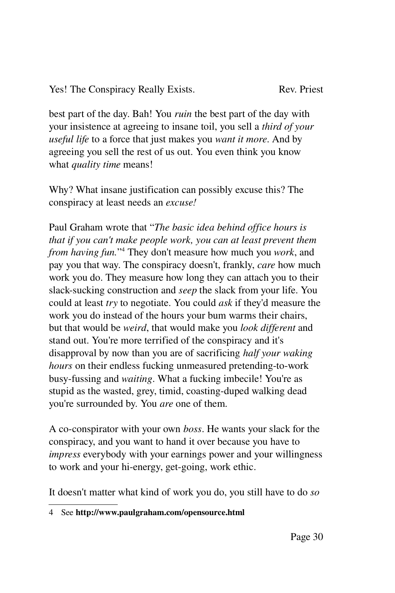best part of the day. Bah! You *ruin* the best part of the day with your insistence at agreeing to insane toil, you sell a *third of your useful life* to a force that just makes you *want it more*. And by agreeing you sell the rest of us out. You even think you know what *quality time* means!

Why? What insane justification can possibly excuse this? The conspiracy at least needs an excuse!

Paul Graham wrote that "The basic idea behind office hours is that if you can't make people work, you can at least prevent them *from having fun.*"<sup>4</sup> They don't measure how much you *work*, and pay you that way. The conspiracy doesn't, frankly, care how much work you do. They measure how long they can attach you to their slack-sucking construction and *seep* the slack from your life. You could at least try to negotiate. You could ask if they'd measure the work you do instead of the hours your bum warms their chairs, but that would be *weird*, that would make you *look different* and stand out. You're more terrified of the conspiracy and it's disapproval by now than you are of sacrificing *half your waking* hours on their endless fucking unmeasured pretending-to-work busy-fussing and *waiting*. What a fucking imbecile! You're as stupid as the wasted, grey, timid, coasting-duped walking dead you're surrounded by. You are one of them.

A co-conspirator with your own boss. He wants your slack for the conspiracy, and you want to hand it over because you have to *impress* everybody with your earnings power and your willingness to work and your hi-energy, get-going, work ethic.

It doesn't matter what kind of work you do, you still have to do so

4 See http://www.paulgraham.com/opensource.html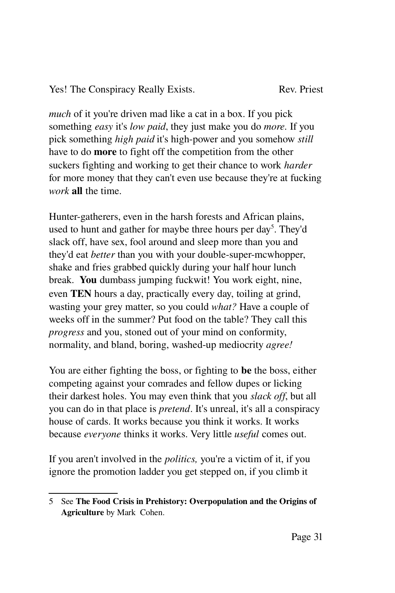*much* of it you're driven mad like a cat in a box. If you pick something *easy* it's *low paid*, they just make you do *more*. If you pick something *high paid* it's high-power and you somehow *still* have to do more to fight off the competition from the other suckers fighting and working to get their chance to work *harder* for more money that they can't even use because they're at fucking *work* all the time.

Hunter-gatherers, even in the harsh forests and African plains, used to hunt and gather for maybe three hours per day<sup>5</sup>. They'd slack off, have sex, fool around and sleep more than you and they'd eat *better* than you with your double-super-mcwhopper, shake and fries grabbed quickly during your half hour lunch break. You dumbass jumping fuckwit! You work eight, nine, even TEN hours a day, practically every day, toiling at grind, wasting your grey matter, so you could *what?* Have a couple of weeks off in the summer? Put food on the table? They call this progress and you, stoned out of your mind on conformity, normality, and bland, boring, washed-up mediocrity agree!

You are either fighting the boss, or fighting to be the boss, either competing against your comrades and fellow dupes or licking their darkest holes. You may even think that you *slack off*, but all you can do in that place is *pretend*. It's unreal, it's all a conspiracy house of cards. It works because you think it works. It works because everyone thinks it works. Very little useful comes out.

If you aren't involved in the *politics*, you're a victim of it, if you ignore the promotion ladder you get stepped on, if you climb it

<sup>5</sup> See The Food Crisis in Prehistory: Overpopulation and the Origins of **Agriculture** by Mark Cohen.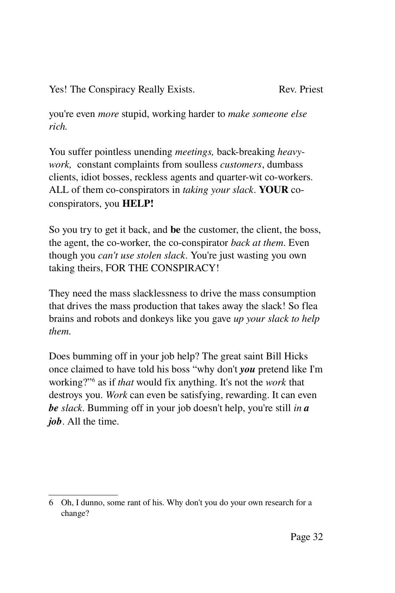you're even *more* stupid, working harder to *make someone else* rich

You suffer pointless unending *meetings*, back-breaking *heavy*work, constant complaints from soulless customers, dumbass clients, idiot bosses, reckless agents and quarter-wit co-workers. ALL of them co-conspirators in taking your slack. YOUR coconspirators, you **HELP!** 

So you try to get it back, and be the customer, the client, the boss, the agent, the co-worker, the co-conspirator back at them. Even though you *can't use stolen slack*. You're just wasting you own taking theirs, FOR THE CONSPIRACY!

They need the mass slacklessness to drive the mass consumption that drives the mass production that takes away the slack! So flea brains and robots and donkeys like you gave up your slack to help them

Does bumming off in your job help? The great saint Bill Hicks once claimed to have told his boss "why don't you pretend like I'm working?"<sup>6</sup> as if *that* would fix anything. It's not the *work* that destroys you. Work can even be satisfying, rewarding. It can even **be** slack. Bumming off in your job doesn't help, you're still in **a** job. All the time.

<sup>6</sup> Oh, I dunno, some rant of his. Why don't you do your own research for a change?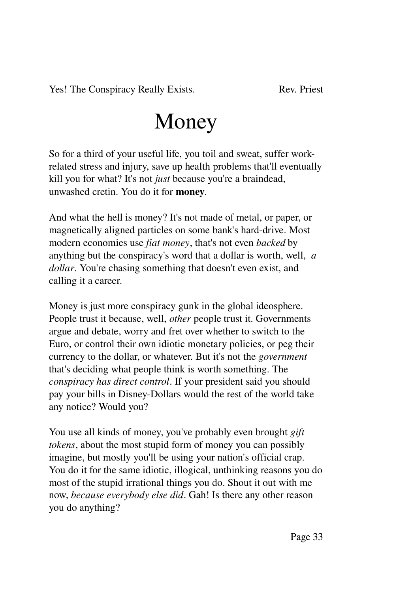Yes! The Conspiracy Really Exists.

## Money

So for a third of your useful life, you toil and sweat, suffer workrelated stress and injury, save up health problems that'll eventually kill you for what? It's not *just* because you're a braindead, unwashed cretin. You do it for **money**.

And what the hell is money? It's not made of metal, or paper, or magnetically aligned particles on some bank's hard-drive. Most modern economies use *fiat money*, that's not even *backed* by anything but the conspiracy's word that a dollar is worth, well, a dollar. You're chasing something that doesn't even exist, and calling it a career.

Money is just more conspiracy gunk in the global ideosphere. People trust it because, well, *other* people trust it. Governments argue and debate, worry and fret over whether to switch to the Euro, or control their own idiotic monetary policies, or peg their currency to the dollar, or whatever. But it's not the government that's deciding what people think is worth something. The conspiracy has direct control. If your president said you should pay your bills in Disney-Dollars would the rest of the world take any notice? Would you?

You use all kinds of money, you've probably even brought gift tokens, about the most stupid form of money you can possibly imagine, but mostly you'll be using your nation's official crap. You do it for the same idiotic, illogical, unthinking reasons you do most of the stupid irrational things you do. Shout it out with me now, because everybody else did. Gah! Is there any other reason you do anything?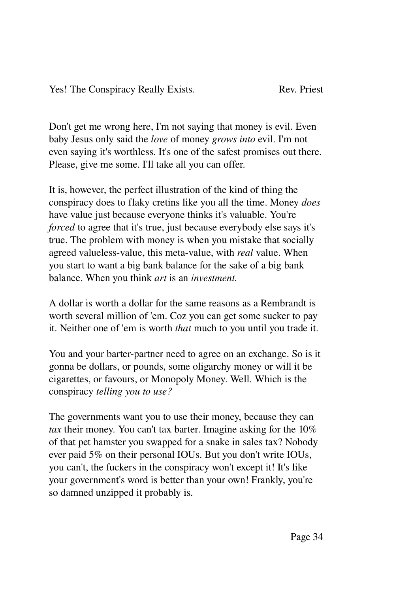Don't get me wrong here, I'm not saying that money is evil. Even baby Jesus only said the *love* of money *grows into* evil. I'm not even saying it's worthless. It's one of the safest promises out there. Please, give me some. I'll take all you can offer.

It is, however, the perfect illustration of the kind of thing the conspiracy does to flaky cretins like you all the time. Money *does* have value just because everyone thinks it's valuable. You're *forced* to agree that it's true, just because everybody else says it's true. The problem with money is when you mistake that socially agreed valueless-value, this meta-value, with *real* value. When you start to want a big bank balance for the sake of a big bank balance. When you think *art* is an *investment*.

A dollar is worth a dollar for the same reasons as a Rembrandt is worth several million of 'em. Coz you can get some sucker to pay it. Neither one of 'em is worth *that* much to you until you trade it.

You and your barter-partner need to agree on an exchange. So is it gonna be dollars, or pounds, some oligarchy money or will it be cigarettes, or favours, or Monopoly Money. Well. Which is the conspiracy *telling* you to use?

The governments want you to use their money, because they can *tax* their money. You can't tax barter. Imagine asking for the 10% of that pet hamster you swapped for a snake in sales tax? Nobody ever paid 5% on their personal IOUs. But you don't write IOUs, you can't, the fuckers in the conspiracy won't except it! It's like your government's word is better than your own! Frankly, you're so damned unzipped it probably is.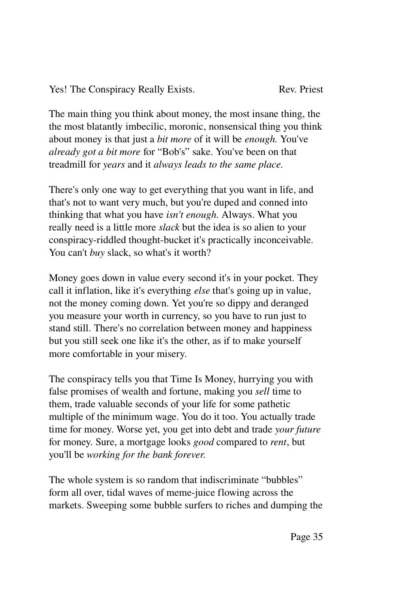**Rev Priest** 

The main thing you think about money, the most insane thing, the the most blatantly imbecilic, moronic, nonsensical thing you think about money is that just a *bit more* of it will be *enough*. You've *already got a bit more* for "Bob's" sake. You've been on that treadmill for years and it always leads to the same place.

There's only one way to get everything that you want in life, and that's not to want very much, but you're duped and conned into thinking that what you have *isn't enough*. Always. What you really need is a little more *slack* but the idea is so alien to your conspiracy-riddled thought-bucket it's practically inconceivable. You can't buy slack, so what's it worth?

Money goes down in value every second it's in your pocket. They call it inflation, like it's everything else that's going up in value, not the money coming down. Yet you're so dippy and deranged you measure your worth in currency, so you have to run just to stand still. There's no correlation between money and happiness but you still seek one like it's the other, as if to make yourself more comfortable in your misery.

The conspiracy tells you that Time Is Money, hurrying you with false promises of wealth and fortune, making you sell time to them, trade valuable seconds of your life for some pathetic multiple of the minimum wage. You do it too. You actually trade time for money. Worse yet, you get into debt and trade your future for money. Sure, a mortgage looks *good* compared to *rent*, but you'll be working for the bank forever.

The whole system is so random that indiscriminate "bubbles" form all over, tidal waves of meme-juice flowing across the markets. Sweeping some bubble surfers to riches and dumping the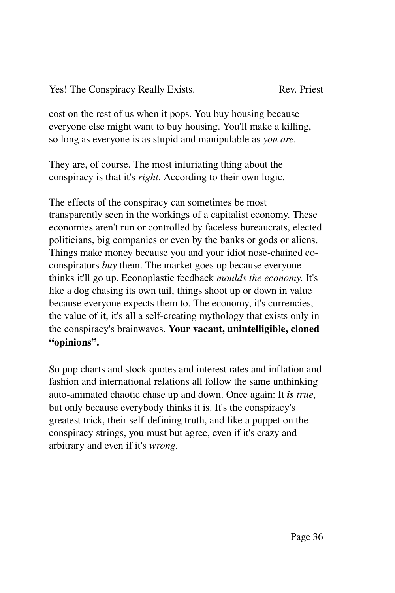cost on the rest of us when it pops. You buy housing because everyone else might want to buy housing. You'll make a killing, so long as everyone is as stupid and manipulable as you are.

They are, of course. The most infuriating thing about the conspiracy is that it's *right*. According to their own logic.

The effects of the conspiracy can sometimes be most transparently seen in the workings of a capitalist economy. These economies aren't run or controlled by faceless bureaucrats, elected politicians, big companies or even by the banks or gods or aliens. Things make money because you and your idiot nose-chained coconspirators buy them. The market goes up because everyone thinks it'll go up. Econoplastic feedback *moulds the economy*. It's like a dog chasing its own tail, things shoot up or down in value because everyone expects them to. The economy, it's currencies, the value of it, it's all a self-creating mythology that exists only in the conspiracy's brainwaves. Your vacant, unintelligible, cloned "opinions".

So pop charts and stock quotes and interest rates and inflation and fashion and international relations all follow the same unthinking auto-animated chaotic chase up and down. Once again: It is true, but only because everybody thinks it is. It's the conspiracy's greatest trick, their self-defining truth, and like a puppet on the conspiracy strings, you must but agree, even if it's crazy and arbitrary and even if it's *wrong*.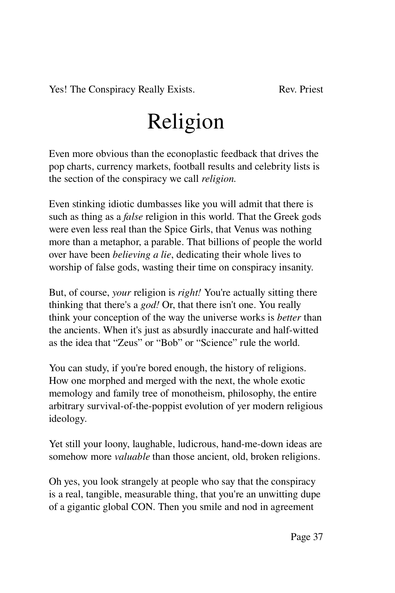Yes! The Conspiracy Really Exists.

# Religion

Even more obvious than the econoplastic feedback that drives the pop charts, currency markets, football results and celebrity lists is the section of the conspiracy we call *religion*.

Even stinking idiotic dumbasses like you will admit that there is such as thing as a *false* religion in this world. That the Greek gods were even less real than the Spice Girls, that Venus was nothing more than a metaphor, a parable. That billions of people the world over have been *believing a lie*, dedicating their whole lives to worship of false gods, wasting their time on conspiracy insanity.

But, of course, your religion is right! You're actually sitting there thinking that there's a *god!* Or, that there isn't one. You really think your conception of the way the universe works is *better* than the ancients. When it's just as absurdly inaccurate and half-witted as the idea that "Zeus" or "Bob" or "Science" rule the world

You can study, if you're bored enough, the history of religions. How one morphed and merged with the next, the whole exotic memology and family tree of monotheism, philosophy, the entire arbitrary survival-of-the-poppist evolution of yer modern religious ideology.

Yet still your loony, laughable, ludicrous, hand-me-down ideas are somehow more *valuable* than those ancient, old, broken religions.

Oh yes, you look strangely at people who say that the conspiracy is a real, tangible, measurable thing, that you're an unwitting dupe of a gigantic global CON. Then you smile and nod in agreement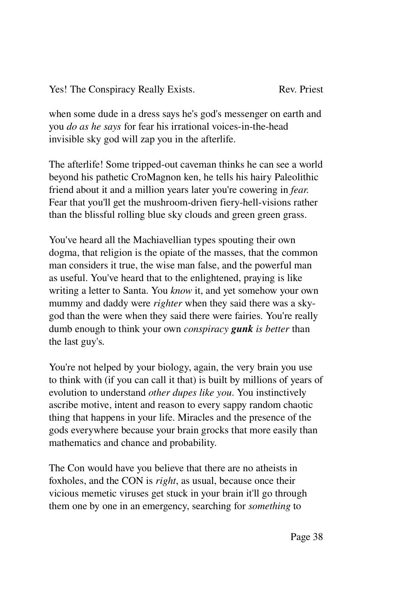**Rev Priest** Yes! The Conspiracy Really Exists.

when some dude in a dress says he's god's messenger on earth and you *do as he says* for fear his irrational voices-in-the-head invisible sky god will zap you in the afterlife.

The afterlife! Some tripped-out caveman thinks he can see a world beyond his pathetic CroMagnon ken, he tells his hairy Paleolithic friend about it and a million years later you're cowering in fear. Fear that you'll get the mushroom-driven fiery-hell-visions rather than the blissful rolling blue sky clouds and green green grass.

You've heard all the Machiavellian types spouting their own dogma, that religion is the opiate of the masses, that the common man considers it true, the wise man false, and the powerful man as useful. You've heard that to the enlightened, praying is like writing a letter to Santa. You know it, and yet somehow your own mummy and daddy were *righter* when they said there was a skygod than the were when they said there were fairies. You're really dumb enough to think your own *conspiracy* gunk is better than the last guy's.

You're not helped by your biology, again, the very brain you use to think with (if you can call it that) is built by millions of years of evolution to understand *other dupes like you*. You instinctively ascribe motive, intent and reason to every sappy random chaotic thing that happens in your life. Miracles and the presence of the gods everywhere because your brain grocks that more easily than mathematics and chance and probability.

The Con would have you believe that there are no atheists in foxholes, and the CON is *right*, as usual, because once their vicious memetic viruses get stuck in your brain it'll go through them one by one in an emergency, searching for *something* to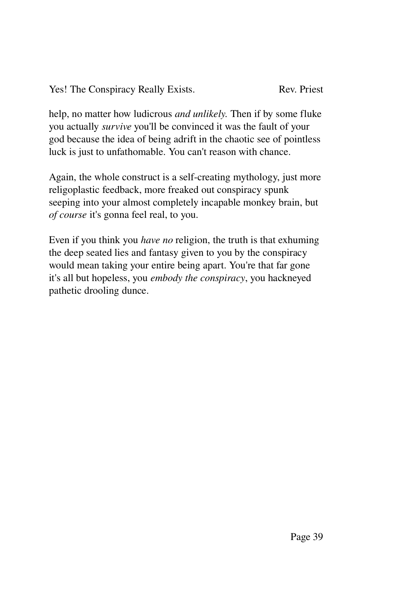Rev. Priest Yes! The Conspiracy Really Exists.

help, no matter how ludicrous and unlikely. Then if by some fluke you actually *survive* you'll be convinced it was the fault of your god because the idea of being adrift in the chaotic see of pointless luck is just to unfathomable. You can't reason with chance.

Again, the whole construct is a self-creating mythology, just more religoplastic feedback, more freaked out conspiracy spunk seeping into your almost completely incapable monkey brain, but of course it's gonna feel real, to you.

Even if you think you have no religion, the truth is that exhuming the deep seated lies and fantasy given to you by the conspiracy would mean taking your entire being apart. You're that far gone it's all but hopeless, you *embody the conspiracy*, you hackneyed pathetic drooling dunce.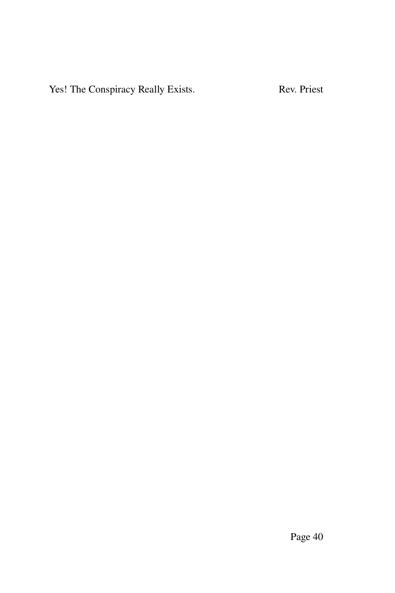Rev. Priest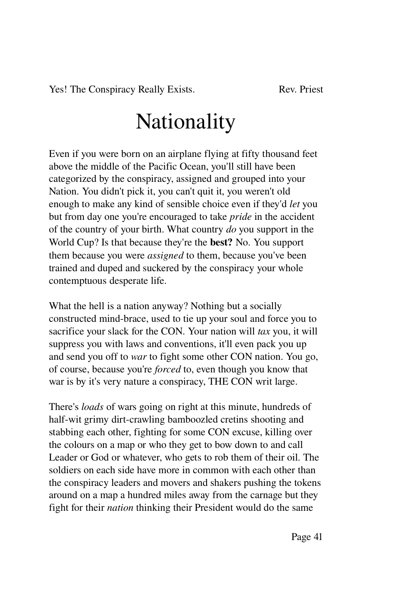Yes! The Conspiracy Really Exists.

## Nationality

Even if you were born on an airplane flying at fifty thousand feet above the middle of the Pacific Ocean, you'll still have been categorized by the conspiracy, assigned and grouped into your Nation. You didn't pick it, you can't quit it, you weren't old enough to make any kind of sensible choice even if they'd let you but from day one you're encouraged to take *pride* in the accident of the country of your birth. What country *do* you support in the World Cup? Is that because they're the **best?** No. You support them because you were *assigned* to them, because you've been trained and duped and suckered by the conspiracy your whole contemptuous desperate life.

What the hell is a nation anyway? Nothing but a socially constructed mind-brace, used to tie up your soul and force you to sacrifice your slack for the CON. Your nation will tax you, it will suppress you with laws and conventions, it'll even pack you up and send you off to war to fight some other CON nation. You go, of course, because you're forced to, even though you know that war is by it's very nature a conspiracy, THE CON writ large.

There's *loads* of wars going on right at this minute, hundreds of half-wit grimy dirt-crawling bamboozled cretins shooting and stabbing each other, fighting for some CON excuse, killing over the colours on a map or who they get to bow down to and call Leader or God or whatever, who gets to rob them of their oil. The soldiers on each side have more in common with each other than the conspiracy leaders and movers and shakers pushing the tokens around on a map a hundred miles away from the carnage but they fight for their *nation* thinking their President would do the same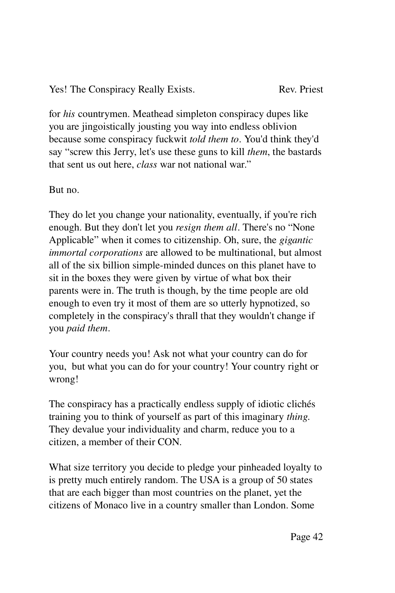for *his* countrymen. Meathead simpleton conspiracy dupes like you are jingoistically jousting you way into endless oblivion because some conspiracy fuckwit *told them to*. You'd think they'd say "screw this Jerry, let's use these guns to kill *them*, the bastards that sent us out here, *class* war not national war."

But no.

They do let you change your nationality, eventually, if you're rich enough. But they don't let you *resign them all*. There's no "None Applicable" when it comes to citizenship. Oh, sure, the *gigantic* immortal corporations are allowed to be multinational, but almost all of the six billion simple-minded dunces on this planet have to sit in the boxes they were given by virtue of what box their parents were in. The truth is though, by the time people are old enough to even try it most of them are so utterly hypnotized, so completely in the conspiracy's thrall that they wouldn't change if you paid them.

Your country needs you! Ask not what your country can do for you, but what you can do for your country! Your country right or wrong!

The conspiracy has a practically endless supply of idiotic clichés training you to think of yourself as part of this imaginary thing. They devalue your individuality and charm, reduce you to a citizen, a member of their CON.

What size territory you decide to pledge your pinheaded loyalty to is pretty much entirely random. The USA is a group of 50 states that are each bigger than most countries on the planet, yet the citizens of Monaco live in a country smaller than London. Some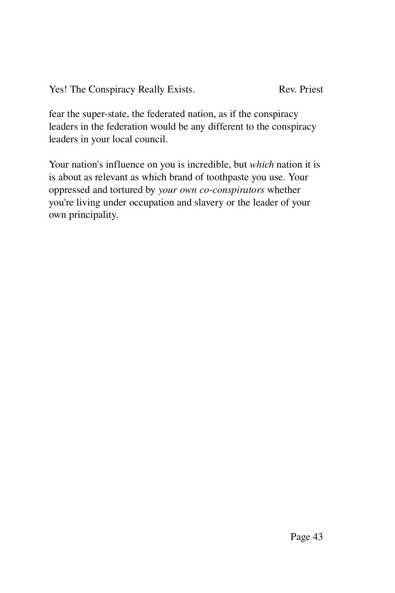Yes! The Conspiracy Really Exists. Rev. Priest

fear the super-state, the federated nation, as if the conspiracy leaders in the federation would be any different to the conspiracy leaders in your local council.

Your nation's influence on you is incredible, but which nation it is is about as relevant as which brand of toothpaste you use. Your oppressed and tortured by your own co-conspirators whether you're living under occupation and slavery or the leader of your own principality.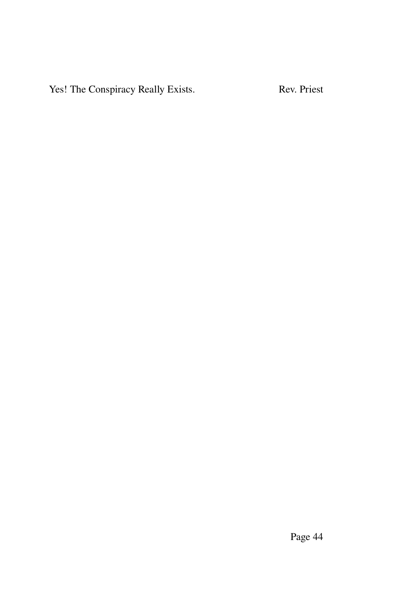Rev. Priest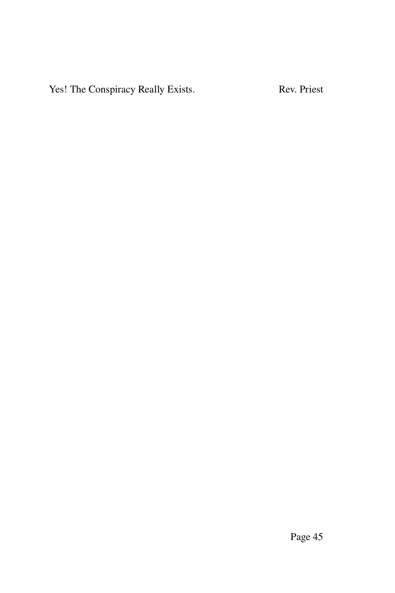Rev. Priest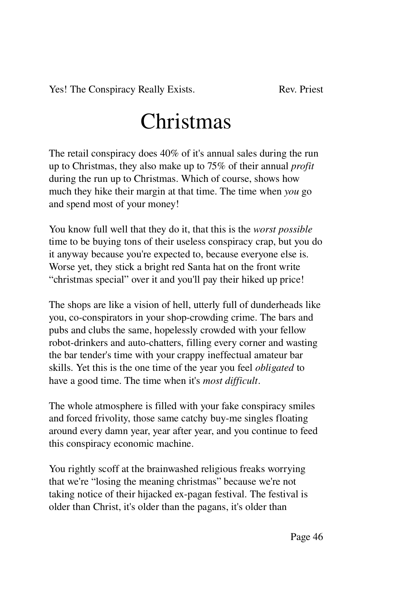Yes! The Conspiracy Really Exists.

## Christmas

The retail conspiracy does 40% of it's annual sales during the run up to Christmas, they also make up to 75% of their annual *profit* during the run up to Christmas. Which of course, shows how much they hike their margin at that time. The time when you go and spend most of your money!

You know full well that they do it, that this is the *worst possible* time to be buying tons of their useless conspiracy crap, but you do it anyway because you're expected to, because everyone else is. Worse yet, they stick a bright red Santa hat on the front write "christmas special" over it and you'll pay their hiked up price!

The shops are like a vision of hell, utterly full of dunderheads like you, co-conspirators in your shop-crowding crime. The bars and pubs and clubs the same, hopelessly crowded with your fellow robot-drinkers and auto-chatters, filling every corner and wasting the bar tender's time with your crappy ineffectual amateur bar skills. Yet this is the one time of the year you feel *obligated* to have a good time. The time when it's *most difficult*.

The whole atmosphere is filled with your fake conspiracy smiles and forced frivolity, those same catchy buy-me singles floating around every damn year, year after year, and you continue to feed this conspiracy economic machine.

You rightly scoff at the brainwashed religious freaks worrying that we're "losing the meaning christmas" because we're not taking notice of their hijacked ex-pagan festival. The festival is older than Christ, it's older than the pagans, it's older than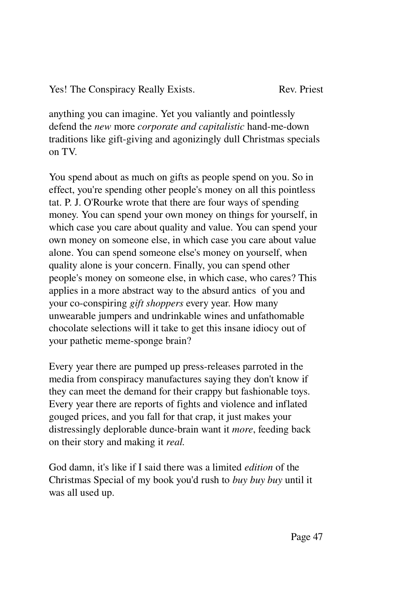anything you can imagine. Yet you valiantly and pointlessly defend the new more corporate and capitalistic hand-me-down traditions like gift-giving and agonizingly dull Christmas specials on TV.

You spend about as much on gifts as people spend on you. So in effect, you're spending other people's money on all this pointless tat. P. J. O'Rourke wrote that there are four ways of spending money. You can spend your own money on things for yourself, in which case you care about quality and value. You can spend your own money on someone else, in which case you care about value alone. You can spend someone else's money on yourself, when quality alone is your concern. Finally, you can spend other people's money on someone else, in which case, who cares? This applies in a more abstract way to the absurd antics of you and your co-conspiring *gift shoppers* every year. How many unwearable jumpers and undrinkable wines and unfathomable chocolate selections will it take to get this insane idiocy out of your pathetic meme-sponge brain?

Every year there are pumped up press-releases parroted in the media from conspiracy manufactures saying they don't know if they can meet the demand for their crappy but fashionable toys. Every year there are reports of fights and violence and inflated gouged prices, and you fall for that crap, it just makes your distressingly deplorable dunce-brain want it *more*, feeding back on their story and making it real.

God damn, it's like if I said there was a limited *edition* of the Christmas Special of my book you'd rush to buy buy buy until it was all used up.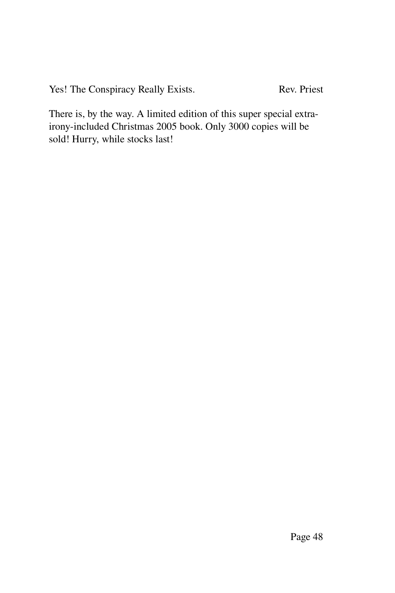Yes! The Conspiracy Really Exists. Rev. Priest

There is, by the way. A limited edition of this super special extrairony-included Christmas 2005 book. Only 3000 copies will be sold! Hurry, while stocks last!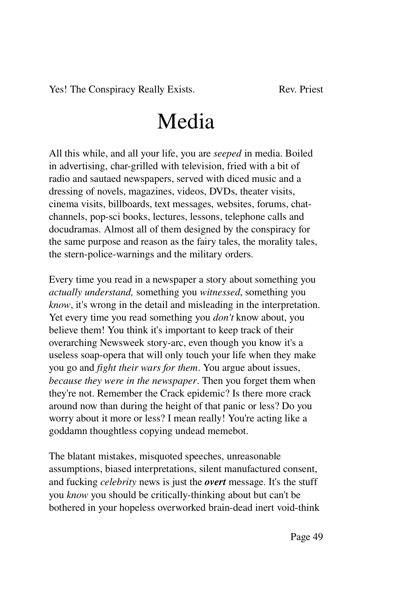Yes! The Conspiracy Really Exists.

## Media

All this while, and all your life, you are seeped in media. Boiled in advertising, char-grilled with television, fried with a bit of radio and sautaed newspapers, served with diced music and a dressing of novels, magazines, videos, DVDs, theater visits, cinema visits, billboards, text messages, websites, forums, chatchannels, pop-sci books, lectures, lessons, telephone calls and docudramas. Almost all of them designed by the conspiracy for the same purpose and reason as the fairy tales, the morality tales, the stern-police-warnings and the military orders.

Every time you read in a newspaper a story about something you actually understand, something you witnessed, something you know, it's wrong in the detail and misleading in the interpretation. Yet every time you read something you *don't* know about, you believe them! You think it's important to keep track of their overarching Newsweek story-arc, even though you know it's a useless soap-opera that will only touch your life when they make you go and *fight their wars for them*. You argue about issues, because they were in the newspaper. Then you forget them when they're not. Remember the Crack epidemic? Is there more crack around now than during the height of that panic or less? Do you worry about it more or less? I mean really! You're acting like a goddamn thoughtless copying undead memebot.

The blatant mistakes, misquoted speeches, unreasonable assumptions, biased interpretations, silent manufactured consent, and fucking *celebrity* news is just the *overt* message. It's the stuff you *know* you should be critically-thinking about but can't be bothered in your hopeless overworked brain-dead inert void-think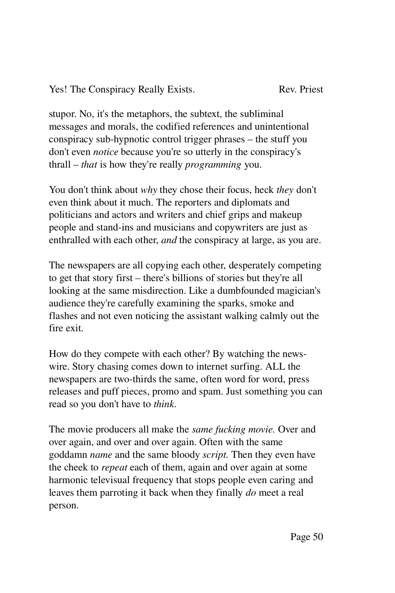stupor. No, it's the metaphors, the subtext, the subliminal messages and morals, the codified references and unintentional conspiracy sub-hypnotic control trigger phrases – the stuff you don't even *notice* because you're so utterly in the conspiracy's thrall – *that* is how they're really *programming* you.

You don't think about why they chose their focus, heck they don't even think about it much. The reporters and diplomats and politicians and actors and writers and chief grips and makeup people and stand-ins and musicians and copywriters are just as enthralled with each other, *and* the conspiracy at large, as you are.

The newspapers are all copying each other, desperately competing to get that story first – there's billions of stories but they're all looking at the same misdirection. Like a dumbfounded magician's audience they're carefully examining the sparks, smoke and flashes and not even noticing the assistant walking calmly out the fire exit

How do they compete with each other? By watching the newswire. Story chasing comes down to internet surfing. ALL the newspapers are two-thirds the same, often word for word, press releases and puff pieces, promo and spam. Just something you can read so you don't have to think.

The movie producers all make the *same fucking movie*. Over and over again, and over and over again. Often with the same goddamn *name* and the same bloody *script*. Then they even have the cheek to *repeat* each of them, again and over again at some harmonic televisual frequency that stops people even caring and leaves them parroting it back when they finally *do* meet a real person.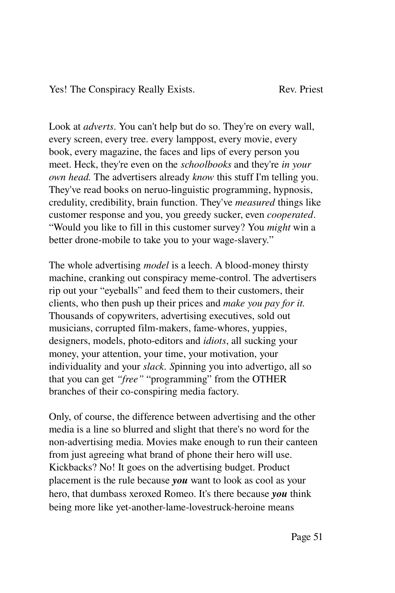Look at *adverts*. You can't help but do so. They're on every wall, every screen, every tree, every lamppost, every movie, every book, every magazine, the faces and lips of every person you meet. Heck, they're even on the schoolbooks and they're in your own head. The advertisers already know this stuff I'm telling you. They've read books on neruo-linguistic programming, hypnosis, credulity, credibility, brain function. They've *measured* things like customer response and you, you greedy sucker, even cooperated. "Would you like to fill in this customer survey? You *might* win a better drone-mobile to take you to your wage-slavery."

The whole advertising *model* is a leech. A blood-money thirsty machine, cranking out conspiracy meme-control. The advertisers rip out your "eyeballs" and feed them to their customers, their clients, who then push up their prices and *make you pay for it*. Thousands of copywriters, advertising executives, sold out musicians, corrupted film-makers, fame-whores, yuppies, designers, models, photo-editors and *idiots*, all sucking your money, your attention, your time, your motivation, your individuality and your *slack*. Spinning you into advertigo, all so that you can get "free" "programming" from the OTHER branches of their co-conspiring media factory.

Only, of course, the difference between advertising and the other media is a line so blurred and slight that there's no word for the non-advertising media. Movies make enough to run their canteen from just agreeing what brand of phone their hero will use. Kickbacks? No! It goes on the advertising budget. Product placement is the rule because you want to look as cool as your hero, that dumbass xeroxed Romeo. It's there because you think being more like yet-another-lame-lovestruck-heroine means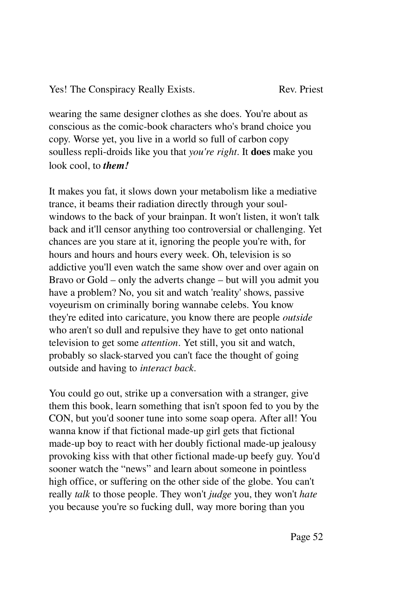wearing the same designer clothes as she does. You're about as conscious as the comic-book characters who's brand choice you copy. Worse yet, you live in a world so full of carbon copy soulless repli-droids like you that you're right. It does make you look cool, to *them!* 

It makes you fat, it slows down your metabolism like a mediative trance, it beams their radiation directly through your soulwindows to the back of your brainpan. It won't listen, it won't talk back and it'll censor anything too controversial or challenging. Yet chances are you stare at it, ignoring the people you're with, for hours and hours and hours every week. Oh, television is so addictive you'll even watch the same show over and over again on Bravo or Gold – only the adverts change – but will you admit you have a problem? No, you sit and watch 'reality' shows, passive voyeurism on criminally boring wannabe celebs. You know they're edited into caricature, you know there are people *outside* who aren't so dull and repulsive they have to get onto national television to get some *attention*. Yet still, you sit and watch, probably so slack-starved you can't face the thought of going outside and having to *interact back*.

You could go out, strike up a conversation with a stranger, give them this book, learn something that isn't spoon fed to you by the CON, but you'd sooner tune into some soap opera. After all! You wanna know if that fictional made-up girl gets that fictional made-up boy to react with her doubly fictional made-up jealousy provoking kiss with that other fictional made-up beefy guy. You'd sooner watch the "news" and learn about someone in pointless high office, or suffering on the other side of the globe. You can't really talk to those people. They won't judge you, they won't hate you because you're so fucking dull, way more boring than you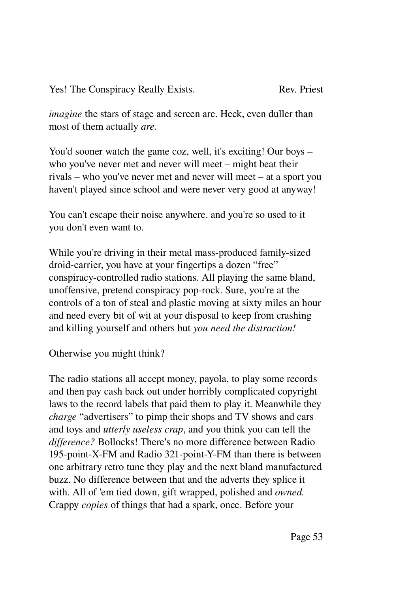**Rev Priest** Yes! The Conspiracy Really Exists.

*imagine* the stars of stage and screen are. Heck, even duller than most of them actually *are*.

You'd sooner watch the game coz, well, it's exciting! Our boys – who you've never met and never will meet – might beat their rivals – who you've never met and never will meet – at a sport you haven't played since school and were never very good at anyway!

You can't escape their noise anywhere, and you're so used to it you don't even want to.

While you're driving in their metal mass-produced family-sized droid-carrier, you have at your fingertips a dozen "free" conspiracy-controlled radio stations. All playing the same bland, unoffensive, pretend conspiracy pop-rock. Sure, you're at the controls of a ton of steal and plastic moving at sixty miles an hour and need every bit of wit at your disposal to keep from crashing and killing yourself and others but you need the distraction!

Otherwise you might think?

The radio stations all accept money, payola, to play some records and then pay cash back out under horribly complicated copyright laws to the record labels that paid them to play it. Meanwhile they *charge* "advertisers" to pimp their shops and TV shows and cars and toys and *utterly useless crap*, and you think you can tell the difference? Bollocks! There's no more difference between Radio 195-point-X-FM and Radio 321-point-Y-FM than there is between one arbitrary retro tune they play and the next bland manufactured buzz. No difference between that and the adverts they splice it with. All of 'em tied down, gift wrapped, polished and owned. Crappy copies of things that had a spark, once. Before your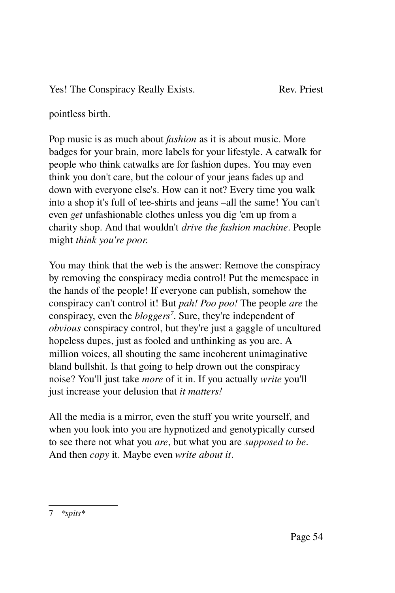**Rev Priest** 

pointless birth.

Pop music is as much about fashion as it is about music. More badges for your brain, more labels for your lifestyle. A catwalk for people who think catwalks are for fashion dupes. You may even think you don't care, but the colour of your jeans fades up and down with everyone else's. How can it not? Every time you walk into a shop it's full of tee-shirts and jeans –all the same! You can't even *get* unfashionable clothes unless you dig 'em up from a charity shop. And that wouldn't *drive the fashion machine*. People might *think* you're poor.

You may think that the web is the answer: Remove the conspiracy by removing the conspiracy media control! Put the memespace in the hands of the people! If everyone can publish, somehow the conspiracy can't control it! But *pah! Poo poo!* The people *are* the conspiracy, even the *bloggers*<sup>7</sup>. Sure, they're independent of *obvious* conspiracy control, but they're just a gaggle of uncultured hopeless dupes, just as fooled and unthinking as you are. A million voices, all shouting the same incoherent unimaginative bland bullshit. Is that going to help drown out the conspiracy noise? You'll just take *more* of it in. If you actually *write* you'll just increase your delusion that *it matters!* 

All the media is a mirror, even the stuff you write yourself, and when you look into you are hypnotized and genotypically cursed to see there not what you are, but what you are *supposed to be*. And then *copy* it. Maybe even *write about it*.

<sup>7</sup>  $*_{spits}*$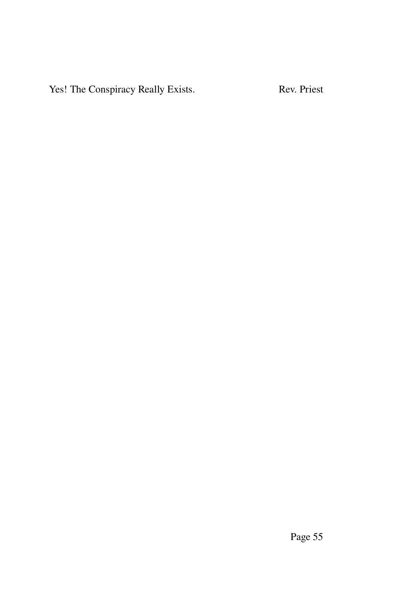Rev. Priest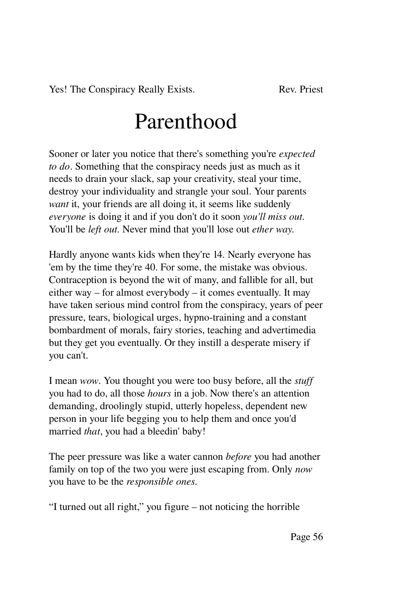Yes! The Conspiracy Really Exists.

### Parenthood

Sooner or later you notice that there's something you're *expected* to do. Something that the conspiracy needs just as much as it needs to drain your slack, sap your creativity, steal your time, destroy your individuality and strangle your soul. Your parents want it, your friends are all doing it, it seems like suddenly everyone is doing it and if you don't do it soon you'll miss out. You'll be *left out*. Never mind that you'll lose out *ether way*.

Hardly anyone wants kids when they're 14. Nearly everyone has 'em by the time they're 40. For some, the mistake was obvious. Contraception is beyond the wit of many, and fallible for all, but either way – for almost everybody – it comes eventually. It may have taken serious mind control from the conspiracy, years of peer pressure, tears, biological urges, hypno-training and a constant bombardment of morals, fairy stories, teaching and advertimedia but they get you eventually. Or they instill a desperate misery if you can't.

I mean *wow*. You thought you were too busy before, all the *stuff* you had to do, all those *hours* in a job. Now there's an attention demanding, droolingly stupid, utterly hopeless, dependent new person in your life begging you to help them and once you'd married that, you had a bleedin' baby!

The peer pressure was like a water cannon *before* you had another family on top of the two you were just escaping from. Only now you have to be the responsible ones.

"I turned out all right," you figure – not noticing the horrible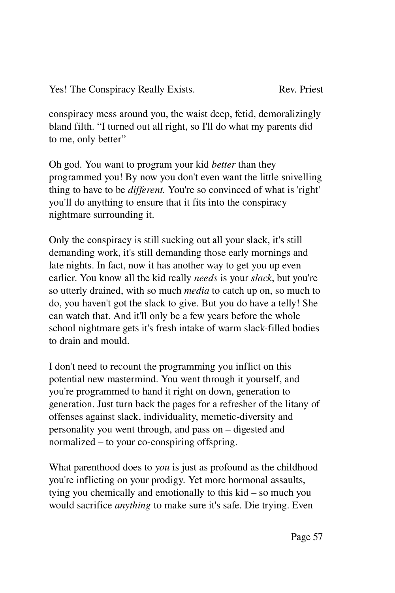**Rev Priest** Yes! The Conspiracy Really Exists.

conspiracy mess around you, the waist deep, fetid, demoralizingly bland filth. "I turned out all right, so I'll do what my parents did to me, only better"

Oh god. You want to program your kid *better* than they programmed you! By now you don't even want the little snivelling thing to have to be *different*. You're so convinced of what is 'right' you'll do anything to ensure that it fits into the conspiracy nightmare surrounding it.

Only the conspiracy is still sucking out all your slack, it's still demanding work, it's still demanding those early mornings and late nights. In fact, now it has another way to get you up even earlier. You know all the kid really *needs* is your *slack*, but you're so utterly drained, with so much *media* to catch up on, so much to do, you haven't got the slack to give. But you do have a telly! She can watch that. And it'll only be a few years before the whole school nightmare gets it's fresh intake of warm slack-filled bodies to drain and mould.

I don't need to recount the programming you inflict on this potential new mastermind. You went through it yourself, and you're programmed to hand it right on down, generation to generation. Just turn back the pages for a refresher of the litany of offenses against slack, individuality, memetic-diversity and personality you went through, and pass on – digested and normalized – to your co-conspiring offspring.

What parenthood does to *you* is just as profound as the childhood you're inflicting on your prodigy. Yet more hormonal assaults, tying you chemically and emotionally to this  $kid - so$  much you would sacrifice *anything* to make sure it's safe. Die trying. Even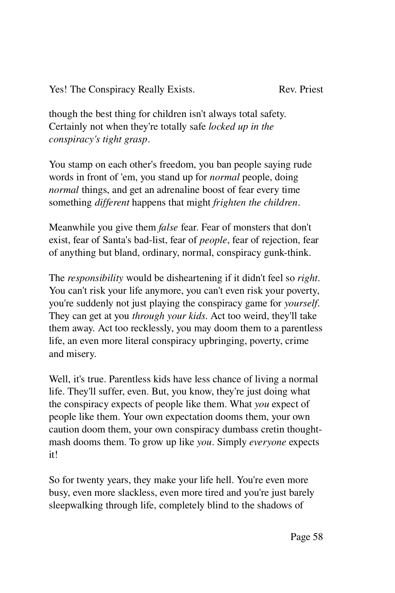though the best thing for children isn't always total safety. Certainly not when they're totally safe locked up in the conspiracy's tight grasp.

You stamp on each other's freedom, you ban people saying rude words in front of 'em, you stand up for *normal* people, doing *normal* things, and get an adrenaline boost of fear every time something *different* happens that might *frighten the children*.

Meanwhile you give them *false* fear. Fear of monsters that don't exist, fear of Santa's bad-list, fear of *people*, fear of rejection, fear of anything but bland, ordinary, normal, conspiracy gunk-think.

The responsibility would be disheartening if it didn't feel so right. You can't risk your life anymore, you can't even risk your poverty, you're suddenly not just playing the conspiracy game for *yourself*. They can get at you through your kids. Act too weird, they'll take them away. Act too recklessly, you may doom them to a parentless life, an even more literal conspiracy upbringing, poverty, crime and misery.

Well, it's true. Parentless kids have less chance of living a normal life. They'll suffer, even. But, you know, they're just doing what the conspiracy expects of people like them. What you expect of people like them. Your own expectation dooms them, your own caution doom them, your own conspiracy dumbass cretin thoughtmash dooms them. To grow up like you. Simply everyone expects it!

So for twenty years, they make your life hell. You're even more busy, even more slackless, even more tired and you're just barely sleepwalking through life, completely blind to the shadows of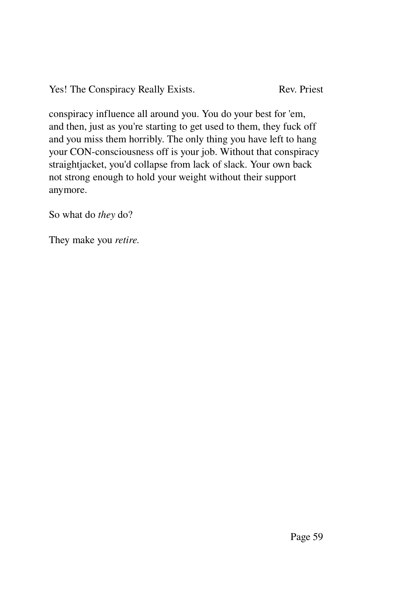Rev. Priest

conspiracy influence all around you. You do your best for 'em, and then, just as you're starting to get used to them, they fuck off and you miss them horribly. The only thing you have left to hang your CON-consciousness off is your job. Without that conspiracy straightjacket, you'd collapse from lack of slack. Your own back not strong enough to hold your weight without their support anymore.

So what do they do?

They make you retire.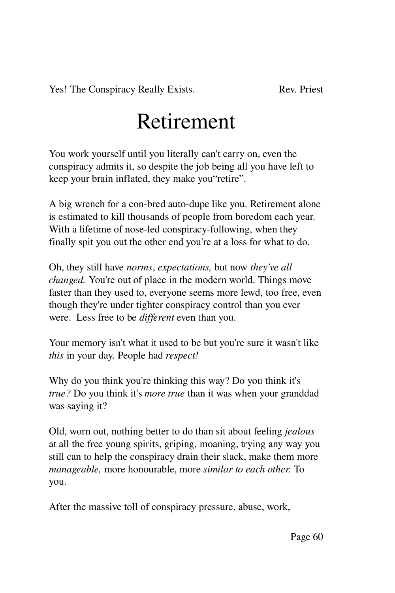Yes! The Conspiracy Really Exists.

## Retirement

You work yourself until you literally can't carry on, even the conspiracy admits it, so despite the job being all you have left to keep your brain inflated, they make you "retire".

A big wrench for a con-bred auto-dupe like you. Retirement alone is estimated to kill thousands of people from boredom each year. With a lifetime of nose-led conspiracy-following, when they finally spit you out the other end you're at a loss for what to do.

Oh, they still have norms, expectations, but now they've all *changed.* You're out of place in the modern world. Things move faster than they used to, everyone seems more lewd, too free, even though they're under tighter conspiracy control than you ever were. Less free to be *different* even than you.

Your memory isn't what it used to be but you're sure it wasn't like this in your day. People had respect!

Why do you think you're thinking this way? Do you think it's true? Do you think it's *more true* than it was when your granddad was saying it?

Old, worn out, nothing better to do than sit about feeling jealous at all the free young spirits, griping, moaning, trying any way you still can to help the conspiracy drain their slack, make them more *manageable*, more honourable, more *similar to each other*. To you.

After the massive toll of conspiracy pressure, abuse, work,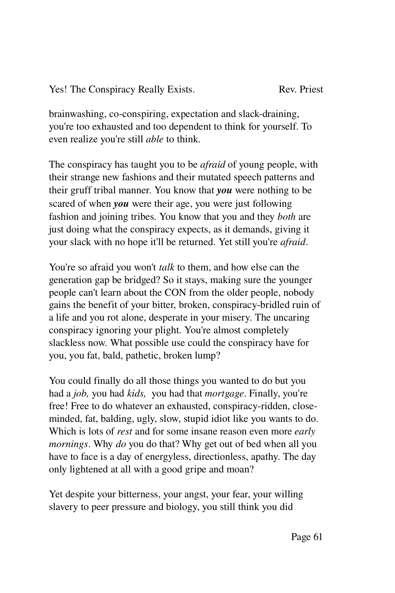Rev. Priest Yes! The Conspiracy Really Exists.

brainwashing, co-conspiring, expectation and slack-draining, you're too exhausted and too dependent to think for yourself. To even realize you're still *able* to think.

The conspiracy has taught you to be *afraid* of young people, with their strange new fashions and their mutated speech patterns and their gruff tribal manner. You know that you were nothing to be scared of when you were their age, you were just following fashion and joining tribes. You know that you and they *both* are just doing what the conspiracy expects, as it demands, giving it your slack with no hope it'll be returned. Yet still you're afraid.

You're so afraid you won't *talk* to them, and how else can the generation gap be bridged? So it stays, making sure the younger people can't learn about the CON from the older people, nobody gains the benefit of your bitter, broken, conspiracy-bridled ruin of a life and you rot alone, desperate in your misery. The uncaring conspiracy ignoring your plight. You're almost completely slackless now. What possible use could the conspiracy have for you, you fat, bald, pathetic, broken lump?

You could finally do all those things you wanted to do but you had a job, you had kids, you had that mortgage. Finally, you're free! Free to do whatever an exhausted, conspiracy-ridden, closeminded, fat, balding, ugly, slow, stupid idiot like you wants to do. Which is lots of *rest* and for some insane reason even more *early mornings*. Why *do* you do that? Why get out of bed when all you have to face is a day of energyless, directionless, apathy. The day only lightened at all with a good gripe and moan?

Yet despite your bitterness, your angst, your fear, your willing slavery to peer pressure and biology, you still think you did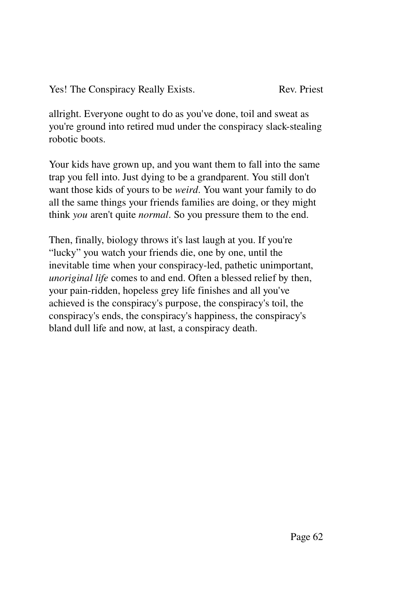**Rev Priest** Yes! The Conspiracy Really Exists.

allright. Everyone ought to do as you've done, toil and sweat as you're ground into retired mud under the conspiracy slack-stealing robotic boots.

Your kids have grown up, and you want them to fall into the same trap you fell into. Just dying to be a grandparent. You still don't want those kids of yours to be *weird*. You want your family to do all the same things your friends families are doing, or they might think you aren't quite *normal*. So you pressure them to the end.

Then, finally, biology throws it's last laugh at you. If you're "lucky" you watch your friends die, one by one, until the inevitable time when your conspiracy-led, pathetic unimportant, *unoriginal life* comes to and end. Often a blessed relief by then, your pain-ridden, hopeless grey life finishes and all you've achieved is the conspiracy's purpose, the conspiracy's toil, the conspiracy's ends, the conspiracy's happiness, the conspiracy's bland dull life and now, at last, a conspiracy death.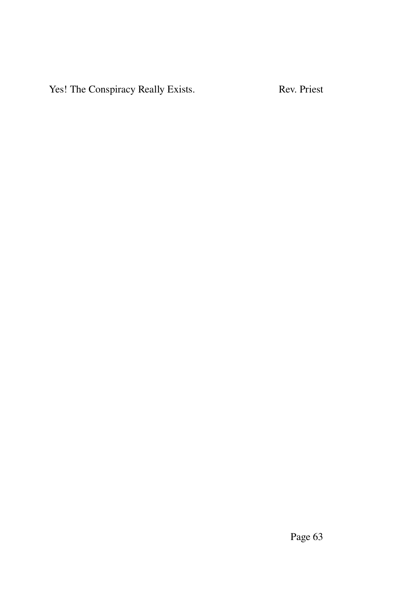Rev. Priest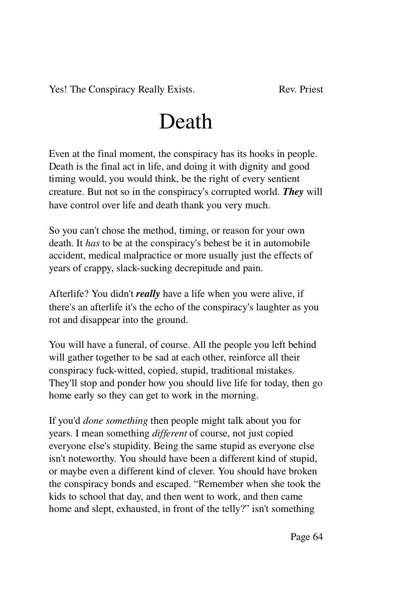Yes! The Conspiracy Really Exists.

#### Death

Even at the final moment, the conspiracy has its hooks in people. Death is the final act in life, and doing it with dignity and good timing would, you would think, be the right of every sentient creature. But not so in the conspiracy's corrupted world. They will have control over life and death thank you very much.

So you can't chose the method, timing, or reason for your own death. It has to be at the conspiracy's behest be it in automobile accident, medical malpractice or more usually just the effects of years of crappy, slack-sucking decrepitude and pain.

Afterlife? You didn't *really* have a life when you were alive, if there's an afterlife it's the echo of the conspiracy's laughter as you rot and disappear into the ground.

You will have a funeral, of course. All the people you left behind will gather together to be sad at each other, reinforce all their conspiracy fuck-witted, copied, stupid, traditional mistakes. They'll stop and ponder how you should live life for today, then go home early so they can get to work in the morning.

If you'd *done something* then people might talk about you for years. I mean something *different* of course, not just copied everyone else's stupidity. Being the same stupid as everyone else isn't noteworthy. You should have been a different kind of stupid, or maybe even a different kind of clever. You should have broken the conspiracy bonds and escaped. "Remember when she took the kids to school that day, and then went to work, and then came home and slept, exhausted, in front of the telly?" isn't something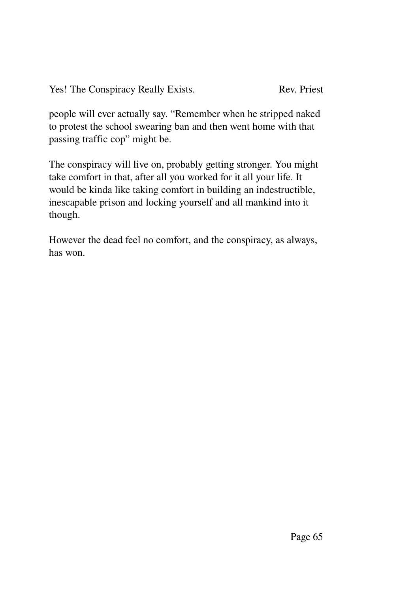Yes! The Conspiracy Really Exists. Rev. Priest

people will ever actually say. "Remember when he stripped naked to protest the school swearing ban and then went home with that passing traffic cop" might be.

The conspiracy will live on, probably getting stronger. You might take comfort in that, after all you worked for it all your life. It would be kinda like taking comfort in building an indestructible, inescapable prison and locking yourself and all mankind into it though.

However the dead feel no comfort, and the conspiracy, as always, has won.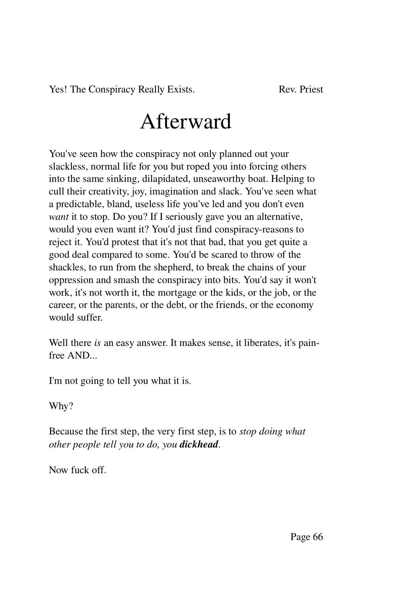Yes! The Conspiracy Really Exists.

#### Afterward

You've seen how the conspiracy not only planned out your slackless, normal life for you but roped you into forcing others into the same sinking, dilapidated, unseaworthy boat. Helping to cull their creativity, joy, imagination and slack. You've seen what a predictable, bland, useless life you've led and you don't even want it to stop. Do you? If I seriously gave you an alternative, would you even want it? You'd just find conspiracy-reasons to reject it. You'd protest that it's not that bad, that you get quite a good deal compared to some. You'd be scared to throw of the shackles, to run from the shepherd, to break the chains of your oppression and smash the conspiracy into bits. You'd say it won't work, it's not worth it, the mortgage or the kids, or the job, or the career, or the parents, or the debt, or the friends, or the economy would suffer.

Well there is an easy answer. It makes sense, it liberates, it's painfree AND...

I'm not going to tell you what it is.

Why?

Because the first step, the very first step, is to *stop doing what* other people tell you to do, you dickhead.

Now fuck off.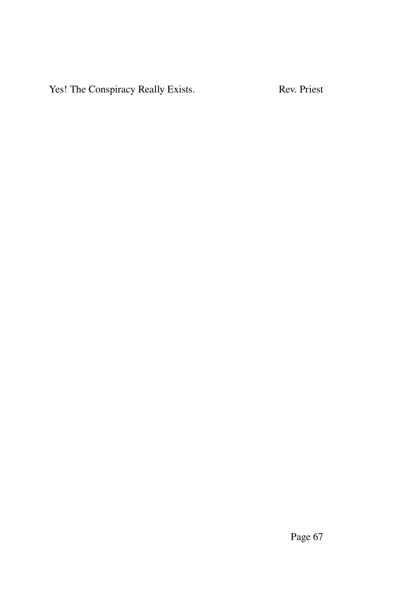Rev. Priest